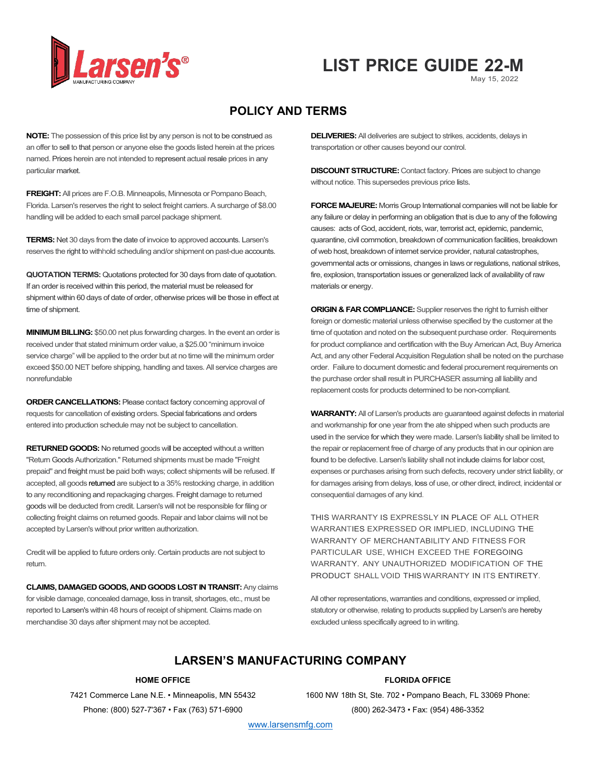

# May 15, 2022 **LIST PRICE GUIDE 22-M**

# **POLICY AND TERMS**

**NOTE:** The possession of this price list by any person is not to be construed as an offer to sell to that person or anyone else the goods listed herein at the prices named. Prices herein are not intended to represent actual resale prices in any particular market.

**FREIGHT:** All prices are F.O.B. Minneapolis, Minnesota or Pompano Beach, Florida. Larsen's reserves the right to select freight carriers. A surcharge of \$8.00 handling will be added to each small parcel package shipment.

**TERMS:** Net 30 days from the date of invoice to approved accounts. Larsen's reserves the right to withhold scheduling and/or shipment on past-due accounts.

**QUOTATION TERMS:** Quotations protected for 30 days from date of quotation. If an order is received within this period, the material must be released for shipment within 60 days of date of order, otherwise prices will be those in effect at time of shipment.

**MINIMUM BILLING:** \$50.00 net plus forwarding charges. In the event an order is received under that stated minimum order value, a \$25.00 "minimum invoice service charge" will be applied to the order but at no time will the minimum order exceed \$50.00 NET before shipping, handling and taxes. All service charges are nonrefundable

**ORDER CANCELLATIONS:** Please contact factory concerning approval of requests for cancellation of existing orders. Special fabrications and orders entered into production schedule may not be subject to cancellation.

**RETURNED GOODS:** No returned goods will be accepted without a written "Return Goods Authorization." Returned shipments must be made "Freight prepaid" and freight must be paid both ways; collect shipments will be refused. If accepted, all goods returned are subject to a 35% restocking charge, in addition to any reconditioning and repackaging charges. Freight damage to returned goods will be deducted from credit. Larsen's will not be responsible for filing or collecting freight claims on returned goods. Repair and labor claims will not be accepted by Larsen's without prior written authorization.

Credit will be applied to future orders only. Certain products are not subject to return.

**CLAIMS, DAMAGED GOODS, AND GOODS LOST IN TRANSIT:** Any claims for visible damage, concealed damage, loss in transit, shortages, etc., must be reported to Larsen's within 48 hours of receipt of shipment. Claims made on merchandise 30 days after shipment may not be accepted.

**DELIVERIES:** All deliveries are subject to strikes, accidents, delays in transportation or other causes beyond our control.

**DISCOUNT STRUCTURE:** Contact factory. Prices are subject to change without notice. This supersedes previous price lists.

**FORCE MAJEURE:** Morris Group International companies will not be liable for any failure or delay in performing an obligation that is due to any of the following causes: acts of God, accident, riots, war, terrorist act, epidemic, pandemic, quarantine, civil commotion, breakdown of communication facilities, breakdown of web host, breakdown of internet service provider, natural catastrophes, governmental acts or omissions, changes in laws or regulations, national strikes, fire, explosion, transportation issues or generalized lack of availability of raw materials or energy.

**ORIGIN & FAR COMPLIANCE:** Supplier reserves the right to furnish either foreign or domestic material unless otherwise specified by the customer at the time of quotation and noted on the subsequent purchase order. Requirements for product compliance and certification with the Buy American Act, Buy America Act, and any other Federal Acquisition Regulation shall be noted on the purchase order. Failure to document domestic and federal procurement requirements on the purchase order shall result in PURCHASER assuming all liability and replacement costs for products determined to be non-compliant.

**WARRANTY:**All of Larsen's products are guaranteed against defects in material and workmanship for one year from the ate shipped when such products are used in the service for which they were made. Larsen's liability shall be limited to the repair or replacement free of charge of any products that in our opinion are found to be defective. Larsen's liability shall not include claims for labor cost, expenses or purchases arising from such defects, recovery under strict liability, or for damages arising from delays, loss of use, or other direct, indirect, incidental or consequential damages of any kind.

THIS WARRANTY IS EXPRESSLY IN PLACE OF ALL OTHER WARRANTIES EXPRESSED OR IMPLIED, INCLUDING THE WARRANTY OF MERCHANTABILITY AND FITNESS FOR PARTICULAR USE, WHICH EXCEED THE FOREGOING WARRANTY. ANY UNAUTHORIZED MODIFICATION OF THE PRODUCT SHALL VOID THIS WARRANTY IN ITS ENTIRETY.

All other representations, warranties and conditions, expressed or implied, statutory or otherwise, relating to products supplied by Larsen's are hereby excluded unless specifically agreed to in writing.

# **LARSEN'S MANUFACTURING COMPANY**

#### **HOME OFFICE**

7421 Commerce Lane N.E. • Minneapolis, MN 55432 Phone: (800) 527-7'367 • Fax (763) 571-6900

#### **FLORIDA OFFICE**

1600 NW 18th St, Ste. 702 • Pompano Beach, FL 33069 Phone: (800) 262-3473 • Fax: (954) 486-3352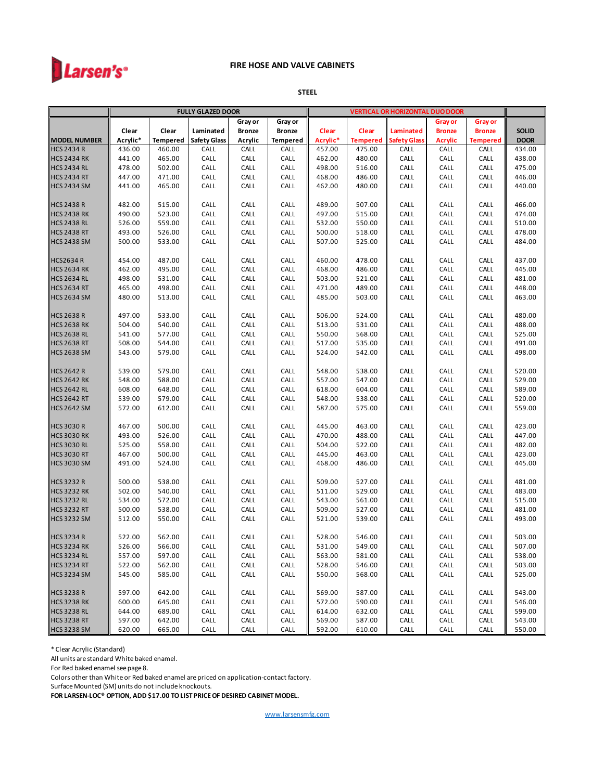

#### **STEEL**

| Gray or<br>Gray or<br>Gray or<br>Gray or<br>Clear<br><b>Bronze</b><br><b>Bronze</b><br><b>SOLID</b><br>Clear<br>Laminated<br>Clear<br>Clear<br>Laminated<br><b>Bronze</b><br><b>Bronze</b><br>Acrylic*<br><b>Safety Glass</b><br><b>DOOR</b><br><b>Tempered</b><br>Acrylic<br><b>Tempered</b><br>Acrylic*<br><b>Tempered</b><br><b>Safety Glass</b><br><b>Acrylic</b><br><b>Tempered</b><br>436.00<br>460.00<br>CALL<br>CALL<br>CALL<br>457.00<br>475.00<br>CALL<br>434.00<br>CALL<br>CALL<br>441.00<br>465.00<br>CALL<br>CALL<br>CALL<br>462.00<br>480.00<br>CALL<br>CALL<br>CALL<br>438.00<br>478.00<br>502.00<br>CALL<br>CALL<br>CALL<br>498.00<br>516.00<br>CALL<br>CALL<br>CALL<br>475.00<br>446.00<br>447.00<br>471.00<br>CALL<br>CALL<br>CALL<br>468.00<br>486.00<br>CALL<br>CALL<br>CALL<br>440.00<br><b>HCS 2434 SM</b><br>441.00<br>465.00<br>CALL<br>CALL<br>CALL<br>462.00<br>CALL<br>480.00<br>CALL<br>CALL<br><b>HCS 2438 R</b><br>482.00<br>515.00<br>CALL<br>CALL<br>CALL<br>489.00<br>507.00<br>CALL<br>CALL<br>CALL<br>466.00<br><b>HCS 2438 RK</b><br>490.00<br>523.00<br>CALL<br>CALL<br>CALL<br>515.00<br>CALL<br>CALL<br>CALL<br>474.00<br>497.00<br><b>HCS 2438 RL</b><br>526.00<br>559.00<br>CALL<br>CALL<br>CALL<br>550.00<br>CALL<br>CALL<br>CALL<br>510.00<br>532.00<br><b>HCS 2438 RT</b><br>493.00<br>526.00<br>CALL<br>CALL<br>CALL<br>CALL<br>CALL<br>CALL<br>478.00<br>500.00<br>518.00<br><b>HCS 2438 SM</b><br>500.00<br>CALL<br>CALL<br>CALL<br>507.00<br>525.00<br>CALL<br>484.00<br>533.00<br>CALL<br>CALL<br><b>HCS2634 R</b><br>487.00<br>CALL<br>CALL<br>CALL<br>437.00<br>454.00<br>CALL<br>460.00<br>478.00<br>CALL<br>CALL<br>462.00<br>495.00<br>445.00<br><b>HCS 2634 RK</b><br>CALL<br>CALL<br>CALL<br>468.00<br>486.00<br>CALL<br>CALL<br>CALL<br>CALL<br>CALL<br>481.00<br><b>HCS 2634 RL</b><br>498.00<br>531.00<br>CALL<br>CALL<br>503.00<br>521.00<br>CALL<br>CALL<br>448.00<br><b>HCS 2634 RT</b><br>465.00<br>498.00<br>CALL<br>CALL<br>CALL<br>489.00<br>CALL<br>CALL<br>CALL<br>471.00<br><b>HCS 2634 SM</b><br>CALL<br>463.00<br>480.00<br>513.00<br>CALL<br>CALL<br>485.00<br>503.00<br>CALL<br>CALL<br>CALL<br><b>HCS 2638 R</b><br>497.00<br>533.00<br>CALL<br>CALL<br>CALL<br>506.00<br>524.00<br>CALL<br>CALL<br>CALL<br>480.00<br>540.00<br>CALL<br>CALL<br>488.00<br><b>HCS 2638 RK</b><br>504.00<br>CALL<br>513.00<br>531.00<br>CALL<br>CALL<br>CALL<br>525.00<br><b>HCS 2638 RL</b><br>541.00<br>577.00<br>CALL<br>CALL<br>CALL<br>550.00<br>568.00<br>CALL<br>CALL<br>CALL<br><b>HCS 2638 RT</b><br>508.00<br>544.00<br>CALL<br>CALL<br>CALL<br>517.00<br>535.00<br>CALL<br>CALL<br>CALL<br>491.00<br><b>HCS 2638 SM</b><br>543.00<br>579.00<br>CALL<br>CALL<br>CALL<br>524.00<br>542.00<br>CALL<br>CALL<br>CALL<br>498.00<br><b>HCS 2642 R</b><br>539.00<br>579.00<br>CALL<br>CALL<br>CALL<br>538.00<br>CALL<br>CALL<br>CALL<br>520.00<br>548.00<br><b>HCS 2642 RK</b><br>548.00<br>588.00<br>CALL<br>CALL<br>CALL<br>557.00<br>547.00<br>CALL<br>CALL<br>CALL<br>529.00<br>589.00<br><b>HCS 2642 RL</b><br>608.00<br>648.00<br>CALL<br>CALL<br>CALL<br>618.00<br>604.00<br>CALL<br>CALL<br>CALL<br><b>HCS 2642 RT</b><br>539.00<br>579.00<br>CALL<br>CALL<br>CALL<br>548.00<br>538.00<br>CALL<br>CALL<br>CALL<br>520.00<br><b>HCS 2642 SM</b><br>CALL<br>CALL<br>CALL<br>575.00<br>CALL<br>559.00<br>572.00<br>612.00<br>587.00<br>CALL<br>CALL<br><b>HCS 3030 R</b><br>500.00<br>CALL<br>CALL<br>CALL<br>CALL<br>CALL<br>423.00<br>467.00<br>445.00<br>463.00<br>CALL<br><b>HCS 3030 RK</b><br>CALL<br>447.00<br>493.00<br>526.00<br>CALL<br>CALL<br>CALL<br>470.00<br>488.00<br>CALL<br>CALL<br>558.00<br>CALL<br>CALL<br>CALL<br>CALL<br>CALL<br>482.00<br>525.00<br>504.00<br>522.00<br>CALL<br>467.00<br>500.00<br>CALL<br>CALL<br>CALL<br>445.00<br>463.00<br>CALL<br>CALL<br>CALL<br>423.00<br>CALL<br>445.00<br>491.00<br>524.00<br>CALL<br>CALL<br>CALL<br>468.00<br>486.00<br>CALL<br>CALL<br>500.00<br>538.00<br>CALL<br>CALL<br>CALL<br>509.00<br>527.00<br>CALL<br>CALL<br>CALL<br>481.00<br>540.00<br>CALL<br>CALL<br>529.00<br>CALL<br>483.00<br>502.00<br>CALL<br>511.00<br>CALL<br>CALL<br>515.00<br>534.00<br>572.00<br>CALL<br>CALL<br>CALL<br>543.00<br>561.00<br>CALL<br>CALL<br>CALL<br>CALL<br>481.00<br>500.00<br>538.00<br>CALL<br>CALL<br>CALL<br>509.00<br>527.00<br>CALL<br>CALL<br>493.00<br>512.00<br>550.00<br>CALL<br>CALL<br>CALL<br>521.00<br>539.00<br>CALL<br>CALL<br>CALL<br>522.00<br>CALL<br>CALL<br>CALL<br>CALL<br>CALL<br>503.00<br>562.00<br>528.00<br>546.00<br>CALL<br>526.00<br>566.00<br>CALL<br>531.00<br>549.00<br>CALL<br>507.00<br>CALL<br>CALL<br>CALL<br>CALL<br><b>HCS 3234 RL</b><br>557.00<br>597.00<br>CALL<br>CALL<br>CALL<br>563.00<br>581.00<br>CALL<br>CALL<br>CALL<br>538.00<br><b>HCS 3234 RT</b><br>522.00<br>562.00<br>528.00<br>546.00<br>CALL<br>CALL<br>503.00<br>CALL<br>CALL<br>CALL<br>CALL<br><b>HCS 3234 SM</b><br>545.00<br>585.00<br>CALL<br>CALL<br>CALL<br>550.00<br>568.00<br>CALL<br>CALL<br>CALL<br>525.00<br><b>HCS 3238 R</b><br>597.00<br>642.00<br>CALL<br>CALL<br>569.00<br>587.00<br>CALL<br>CALL<br>CALL<br>543.00<br>CALL<br><b>HCS 3238 RK</b><br>600.00<br>645.00<br>572.00<br>590.00<br>546.00<br>CALL<br>CALL<br>CALL<br>CALL<br>CALL<br>CALL<br><b>HCS 3238 RL</b><br>599.00<br>644.00<br>689.00<br>CALL<br>CALL<br>CALL<br>614.00<br>632.00<br>CALL<br>CALL<br>CALL<br><b>HCS 3238 RT</b><br>543.00<br>597.00<br>642.00<br>CALL<br>CALL<br>CALL<br>569.00<br>587.00<br>CALL<br>CALL<br>CALL |                     |        |        | <b>FULLY GLAZED DOOR</b> |      |      | <b>VERTICAL OR HORIZONTAL DUO DOOR</b> |        |      |      |      |        |
|---------------------------------------------------------------------------------------------------------------------------------------------------------------------------------------------------------------------------------------------------------------------------------------------------------------------------------------------------------------------------------------------------------------------------------------------------------------------------------------------------------------------------------------------------------------------------------------------------------------------------------------------------------------------------------------------------------------------------------------------------------------------------------------------------------------------------------------------------------------------------------------------------------------------------------------------------------------------------------------------------------------------------------------------------------------------------------------------------------------------------------------------------------------------------------------------------------------------------------------------------------------------------------------------------------------------------------------------------------------------------------------------------------------------------------------------------------------------------------------------------------------------------------------------------------------------------------------------------------------------------------------------------------------------------------------------------------------------------------------------------------------------------------------------------------------------------------------------------------------------------------------------------------------------------------------------------------------------------------------------------------------------------------------------------------------------------------------------------------------------------------------------------------------------------------------------------------------------------------------------------------------------------------------------------------------------------------------------------------------------------------------------------------------------------------------------------------------------------------------------------------------------------------------------------------------------------------------------------------------------------------------------------------------------------------------------------------------------------------------------------------------------------------------------------------------------------------------------------------------------------------------------------------------------------------------------------------------------------------------------------------------------------------------------------------------------------------------------------------------------------------------------------------------------------------------------------------------------------------------------------------------------------------------------------------------------------------------------------------------------------------------------------------------------------------------------------------------------------------------------------------------------------------------------------------------------------------------------------------------------------------------------------------------------------------------------------------------------------------------------------------------------------------------------------------------------------------------------------------------------------------------------------------------------------------------------------------------------------------------------------------------------------------------------------------------------------------------------------------------------------------------------------------------------------------------------------------------------------------------------------------------------------------------------------------------------------------------------------------------------------------------------------------------------------------------------------------------------------------------------------------------------------------------------------------------------------------------------------------------------------------------------------------------------------------------------------------------------------------------------------------------------------------------------------------------------------------------------------------------------------------------------------------------------------------------------------------------------------------------------------------------------------------------------------------------------------------------------------------------------------------------------------------------------------------------------------------------------------------------------------------------------------------------------------------------------------------------------------------------------------------------------------------------------------------------------------------------------------------------------------------------------------------------------------------------|---------------------|--------|--------|--------------------------|------|------|----------------------------------------|--------|------|------|------|--------|
|                                                                                                                                                                                                                                                                                                                                                                                                                                                                                                                                                                                                                                                                                                                                                                                                                                                                                                                                                                                                                                                                                                                                                                                                                                                                                                                                                                                                                                                                                                                                                                                                                                                                                                                                                                                                                                                                                                                                                                                                                                                                                                                                                                                                                                                                                                                                                                                                                                                                                                                                                                                                                                                                                                                                                                                                                                                                                                                                                                                                                                                                                                                                                                                                                                                                                                                                                                                                                                                                                                                                                                                                                                                                                                                                                                                                                                                                                                                                                                                                                                                                                                                                                                                                                                                                                                                                                                                                                                                                                                                                                                                                                                                                                                                                                                                                                                                                                                                                                                                                                                                                                                                                                                                                                                                                                                                                                                                                                                                                                                                                                               |                     |        |        |                          |      |      |                                        |        |      |      |      |        |
|                                                                                                                                                                                                                                                                                                                                                                                                                                                                                                                                                                                                                                                                                                                                                                                                                                                                                                                                                                                                                                                                                                                                                                                                                                                                                                                                                                                                                                                                                                                                                                                                                                                                                                                                                                                                                                                                                                                                                                                                                                                                                                                                                                                                                                                                                                                                                                                                                                                                                                                                                                                                                                                                                                                                                                                                                                                                                                                                                                                                                                                                                                                                                                                                                                                                                                                                                                                                                                                                                                                                                                                                                                                                                                                                                                                                                                                                                                                                                                                                                                                                                                                                                                                                                                                                                                                                                                                                                                                                                                                                                                                                                                                                                                                                                                                                                                                                                                                                                                                                                                                                                                                                                                                                                                                                                                                                                                                                                                                                                                                                                               |                     |        |        |                          |      |      |                                        |        |      |      |      |        |
|                                                                                                                                                                                                                                                                                                                                                                                                                                                                                                                                                                                                                                                                                                                                                                                                                                                                                                                                                                                                                                                                                                                                                                                                                                                                                                                                                                                                                                                                                                                                                                                                                                                                                                                                                                                                                                                                                                                                                                                                                                                                                                                                                                                                                                                                                                                                                                                                                                                                                                                                                                                                                                                                                                                                                                                                                                                                                                                                                                                                                                                                                                                                                                                                                                                                                                                                                                                                                                                                                                                                                                                                                                                                                                                                                                                                                                                                                                                                                                                                                                                                                                                                                                                                                                                                                                                                                                                                                                                                                                                                                                                                                                                                                                                                                                                                                                                                                                                                                                                                                                                                                                                                                                                                                                                                                                                                                                                                                                                                                                                                                               | <b>MODEL NUMBER</b> |        |        |                          |      |      |                                        |        |      |      |      |        |
|                                                                                                                                                                                                                                                                                                                                                                                                                                                                                                                                                                                                                                                                                                                                                                                                                                                                                                                                                                                                                                                                                                                                                                                                                                                                                                                                                                                                                                                                                                                                                                                                                                                                                                                                                                                                                                                                                                                                                                                                                                                                                                                                                                                                                                                                                                                                                                                                                                                                                                                                                                                                                                                                                                                                                                                                                                                                                                                                                                                                                                                                                                                                                                                                                                                                                                                                                                                                                                                                                                                                                                                                                                                                                                                                                                                                                                                                                                                                                                                                                                                                                                                                                                                                                                                                                                                                                                                                                                                                                                                                                                                                                                                                                                                                                                                                                                                                                                                                                                                                                                                                                                                                                                                                                                                                                                                                                                                                                                                                                                                                                               | <b>HCS 2434 R</b>   |        |        |                          |      |      |                                        |        |      |      |      |        |
|                                                                                                                                                                                                                                                                                                                                                                                                                                                                                                                                                                                                                                                                                                                                                                                                                                                                                                                                                                                                                                                                                                                                                                                                                                                                                                                                                                                                                                                                                                                                                                                                                                                                                                                                                                                                                                                                                                                                                                                                                                                                                                                                                                                                                                                                                                                                                                                                                                                                                                                                                                                                                                                                                                                                                                                                                                                                                                                                                                                                                                                                                                                                                                                                                                                                                                                                                                                                                                                                                                                                                                                                                                                                                                                                                                                                                                                                                                                                                                                                                                                                                                                                                                                                                                                                                                                                                                                                                                                                                                                                                                                                                                                                                                                                                                                                                                                                                                                                                                                                                                                                                                                                                                                                                                                                                                                                                                                                                                                                                                                                                               | <b>HCS 2434 RK</b>  |        |        |                          |      |      |                                        |        |      |      |      |        |
|                                                                                                                                                                                                                                                                                                                                                                                                                                                                                                                                                                                                                                                                                                                                                                                                                                                                                                                                                                                                                                                                                                                                                                                                                                                                                                                                                                                                                                                                                                                                                                                                                                                                                                                                                                                                                                                                                                                                                                                                                                                                                                                                                                                                                                                                                                                                                                                                                                                                                                                                                                                                                                                                                                                                                                                                                                                                                                                                                                                                                                                                                                                                                                                                                                                                                                                                                                                                                                                                                                                                                                                                                                                                                                                                                                                                                                                                                                                                                                                                                                                                                                                                                                                                                                                                                                                                                                                                                                                                                                                                                                                                                                                                                                                                                                                                                                                                                                                                                                                                                                                                                                                                                                                                                                                                                                                                                                                                                                                                                                                                                               | <b>HCS 2434 RL</b>  |        |        |                          |      |      |                                        |        |      |      |      |        |
|                                                                                                                                                                                                                                                                                                                                                                                                                                                                                                                                                                                                                                                                                                                                                                                                                                                                                                                                                                                                                                                                                                                                                                                                                                                                                                                                                                                                                                                                                                                                                                                                                                                                                                                                                                                                                                                                                                                                                                                                                                                                                                                                                                                                                                                                                                                                                                                                                                                                                                                                                                                                                                                                                                                                                                                                                                                                                                                                                                                                                                                                                                                                                                                                                                                                                                                                                                                                                                                                                                                                                                                                                                                                                                                                                                                                                                                                                                                                                                                                                                                                                                                                                                                                                                                                                                                                                                                                                                                                                                                                                                                                                                                                                                                                                                                                                                                                                                                                                                                                                                                                                                                                                                                                                                                                                                                                                                                                                                                                                                                                                               | <b>HCS 2434 RT</b>  |        |        |                          |      |      |                                        |        |      |      |      |        |
|                                                                                                                                                                                                                                                                                                                                                                                                                                                                                                                                                                                                                                                                                                                                                                                                                                                                                                                                                                                                                                                                                                                                                                                                                                                                                                                                                                                                                                                                                                                                                                                                                                                                                                                                                                                                                                                                                                                                                                                                                                                                                                                                                                                                                                                                                                                                                                                                                                                                                                                                                                                                                                                                                                                                                                                                                                                                                                                                                                                                                                                                                                                                                                                                                                                                                                                                                                                                                                                                                                                                                                                                                                                                                                                                                                                                                                                                                                                                                                                                                                                                                                                                                                                                                                                                                                                                                                                                                                                                                                                                                                                                                                                                                                                                                                                                                                                                                                                                                                                                                                                                                                                                                                                                                                                                                                                                                                                                                                                                                                                                                               |                     |        |        |                          |      |      |                                        |        |      |      |      |        |
|                                                                                                                                                                                                                                                                                                                                                                                                                                                                                                                                                                                                                                                                                                                                                                                                                                                                                                                                                                                                                                                                                                                                                                                                                                                                                                                                                                                                                                                                                                                                                                                                                                                                                                                                                                                                                                                                                                                                                                                                                                                                                                                                                                                                                                                                                                                                                                                                                                                                                                                                                                                                                                                                                                                                                                                                                                                                                                                                                                                                                                                                                                                                                                                                                                                                                                                                                                                                                                                                                                                                                                                                                                                                                                                                                                                                                                                                                                                                                                                                                                                                                                                                                                                                                                                                                                                                                                                                                                                                                                                                                                                                                                                                                                                                                                                                                                                                                                                                                                                                                                                                                                                                                                                                                                                                                                                                                                                                                                                                                                                                                               |                     |        |        |                          |      |      |                                        |        |      |      |      |        |
|                                                                                                                                                                                                                                                                                                                                                                                                                                                                                                                                                                                                                                                                                                                                                                                                                                                                                                                                                                                                                                                                                                                                                                                                                                                                                                                                                                                                                                                                                                                                                                                                                                                                                                                                                                                                                                                                                                                                                                                                                                                                                                                                                                                                                                                                                                                                                                                                                                                                                                                                                                                                                                                                                                                                                                                                                                                                                                                                                                                                                                                                                                                                                                                                                                                                                                                                                                                                                                                                                                                                                                                                                                                                                                                                                                                                                                                                                                                                                                                                                                                                                                                                                                                                                                                                                                                                                                                                                                                                                                                                                                                                                                                                                                                                                                                                                                                                                                                                                                                                                                                                                                                                                                                                                                                                                                                                                                                                                                                                                                                                                               |                     |        |        |                          |      |      |                                        |        |      |      |      |        |
|                                                                                                                                                                                                                                                                                                                                                                                                                                                                                                                                                                                                                                                                                                                                                                                                                                                                                                                                                                                                                                                                                                                                                                                                                                                                                                                                                                                                                                                                                                                                                                                                                                                                                                                                                                                                                                                                                                                                                                                                                                                                                                                                                                                                                                                                                                                                                                                                                                                                                                                                                                                                                                                                                                                                                                                                                                                                                                                                                                                                                                                                                                                                                                                                                                                                                                                                                                                                                                                                                                                                                                                                                                                                                                                                                                                                                                                                                                                                                                                                                                                                                                                                                                                                                                                                                                                                                                                                                                                                                                                                                                                                                                                                                                                                                                                                                                                                                                                                                                                                                                                                                                                                                                                                                                                                                                                                                                                                                                                                                                                                                               |                     |        |        |                          |      |      |                                        |        |      |      |      |        |
|                                                                                                                                                                                                                                                                                                                                                                                                                                                                                                                                                                                                                                                                                                                                                                                                                                                                                                                                                                                                                                                                                                                                                                                                                                                                                                                                                                                                                                                                                                                                                                                                                                                                                                                                                                                                                                                                                                                                                                                                                                                                                                                                                                                                                                                                                                                                                                                                                                                                                                                                                                                                                                                                                                                                                                                                                                                                                                                                                                                                                                                                                                                                                                                                                                                                                                                                                                                                                                                                                                                                                                                                                                                                                                                                                                                                                                                                                                                                                                                                                                                                                                                                                                                                                                                                                                                                                                                                                                                                                                                                                                                                                                                                                                                                                                                                                                                                                                                                                                                                                                                                                                                                                                                                                                                                                                                                                                                                                                                                                                                                                               |                     |        |        |                          |      |      |                                        |        |      |      |      |        |
|                                                                                                                                                                                                                                                                                                                                                                                                                                                                                                                                                                                                                                                                                                                                                                                                                                                                                                                                                                                                                                                                                                                                                                                                                                                                                                                                                                                                                                                                                                                                                                                                                                                                                                                                                                                                                                                                                                                                                                                                                                                                                                                                                                                                                                                                                                                                                                                                                                                                                                                                                                                                                                                                                                                                                                                                                                                                                                                                                                                                                                                                                                                                                                                                                                                                                                                                                                                                                                                                                                                                                                                                                                                                                                                                                                                                                                                                                                                                                                                                                                                                                                                                                                                                                                                                                                                                                                                                                                                                                                                                                                                                                                                                                                                                                                                                                                                                                                                                                                                                                                                                                                                                                                                                                                                                                                                                                                                                                                                                                                                                                               |                     |        |        |                          |      |      |                                        |        |      |      |      |        |
|                                                                                                                                                                                                                                                                                                                                                                                                                                                                                                                                                                                                                                                                                                                                                                                                                                                                                                                                                                                                                                                                                                                                                                                                                                                                                                                                                                                                                                                                                                                                                                                                                                                                                                                                                                                                                                                                                                                                                                                                                                                                                                                                                                                                                                                                                                                                                                                                                                                                                                                                                                                                                                                                                                                                                                                                                                                                                                                                                                                                                                                                                                                                                                                                                                                                                                                                                                                                                                                                                                                                                                                                                                                                                                                                                                                                                                                                                                                                                                                                                                                                                                                                                                                                                                                                                                                                                                                                                                                                                                                                                                                                                                                                                                                                                                                                                                                                                                                                                                                                                                                                                                                                                                                                                                                                                                                                                                                                                                                                                                                                                               |                     |        |        |                          |      |      |                                        |        |      |      |      |        |
|                                                                                                                                                                                                                                                                                                                                                                                                                                                                                                                                                                                                                                                                                                                                                                                                                                                                                                                                                                                                                                                                                                                                                                                                                                                                                                                                                                                                                                                                                                                                                                                                                                                                                                                                                                                                                                                                                                                                                                                                                                                                                                                                                                                                                                                                                                                                                                                                                                                                                                                                                                                                                                                                                                                                                                                                                                                                                                                                                                                                                                                                                                                                                                                                                                                                                                                                                                                                                                                                                                                                                                                                                                                                                                                                                                                                                                                                                                                                                                                                                                                                                                                                                                                                                                                                                                                                                                                                                                                                                                                                                                                                                                                                                                                                                                                                                                                                                                                                                                                                                                                                                                                                                                                                                                                                                                                                                                                                                                                                                                                                                               |                     |        |        |                          |      |      |                                        |        |      |      |      |        |
|                                                                                                                                                                                                                                                                                                                                                                                                                                                                                                                                                                                                                                                                                                                                                                                                                                                                                                                                                                                                                                                                                                                                                                                                                                                                                                                                                                                                                                                                                                                                                                                                                                                                                                                                                                                                                                                                                                                                                                                                                                                                                                                                                                                                                                                                                                                                                                                                                                                                                                                                                                                                                                                                                                                                                                                                                                                                                                                                                                                                                                                                                                                                                                                                                                                                                                                                                                                                                                                                                                                                                                                                                                                                                                                                                                                                                                                                                                                                                                                                                                                                                                                                                                                                                                                                                                                                                                                                                                                                                                                                                                                                                                                                                                                                                                                                                                                                                                                                                                                                                                                                                                                                                                                                                                                                                                                                                                                                                                                                                                                                                               |                     |        |        |                          |      |      |                                        |        |      |      |      |        |
|                                                                                                                                                                                                                                                                                                                                                                                                                                                                                                                                                                                                                                                                                                                                                                                                                                                                                                                                                                                                                                                                                                                                                                                                                                                                                                                                                                                                                                                                                                                                                                                                                                                                                                                                                                                                                                                                                                                                                                                                                                                                                                                                                                                                                                                                                                                                                                                                                                                                                                                                                                                                                                                                                                                                                                                                                                                                                                                                                                                                                                                                                                                                                                                                                                                                                                                                                                                                                                                                                                                                                                                                                                                                                                                                                                                                                                                                                                                                                                                                                                                                                                                                                                                                                                                                                                                                                                                                                                                                                                                                                                                                                                                                                                                                                                                                                                                                                                                                                                                                                                                                                                                                                                                                                                                                                                                                                                                                                                                                                                                                                               |                     |        |        |                          |      |      |                                        |        |      |      |      |        |
|                                                                                                                                                                                                                                                                                                                                                                                                                                                                                                                                                                                                                                                                                                                                                                                                                                                                                                                                                                                                                                                                                                                                                                                                                                                                                                                                                                                                                                                                                                                                                                                                                                                                                                                                                                                                                                                                                                                                                                                                                                                                                                                                                                                                                                                                                                                                                                                                                                                                                                                                                                                                                                                                                                                                                                                                                                                                                                                                                                                                                                                                                                                                                                                                                                                                                                                                                                                                                                                                                                                                                                                                                                                                                                                                                                                                                                                                                                                                                                                                                                                                                                                                                                                                                                                                                                                                                                                                                                                                                                                                                                                                                                                                                                                                                                                                                                                                                                                                                                                                                                                                                                                                                                                                                                                                                                                                                                                                                                                                                                                                                               |                     |        |        |                          |      |      |                                        |        |      |      |      |        |
|                                                                                                                                                                                                                                                                                                                                                                                                                                                                                                                                                                                                                                                                                                                                                                                                                                                                                                                                                                                                                                                                                                                                                                                                                                                                                                                                                                                                                                                                                                                                                                                                                                                                                                                                                                                                                                                                                                                                                                                                                                                                                                                                                                                                                                                                                                                                                                                                                                                                                                                                                                                                                                                                                                                                                                                                                                                                                                                                                                                                                                                                                                                                                                                                                                                                                                                                                                                                                                                                                                                                                                                                                                                                                                                                                                                                                                                                                                                                                                                                                                                                                                                                                                                                                                                                                                                                                                                                                                                                                                                                                                                                                                                                                                                                                                                                                                                                                                                                                                                                                                                                                                                                                                                                                                                                                                                                                                                                                                                                                                                                                               |                     |        |        |                          |      |      |                                        |        |      |      |      |        |
|                                                                                                                                                                                                                                                                                                                                                                                                                                                                                                                                                                                                                                                                                                                                                                                                                                                                                                                                                                                                                                                                                                                                                                                                                                                                                                                                                                                                                                                                                                                                                                                                                                                                                                                                                                                                                                                                                                                                                                                                                                                                                                                                                                                                                                                                                                                                                                                                                                                                                                                                                                                                                                                                                                                                                                                                                                                                                                                                                                                                                                                                                                                                                                                                                                                                                                                                                                                                                                                                                                                                                                                                                                                                                                                                                                                                                                                                                                                                                                                                                                                                                                                                                                                                                                                                                                                                                                                                                                                                                                                                                                                                                                                                                                                                                                                                                                                                                                                                                                                                                                                                                                                                                                                                                                                                                                                                                                                                                                                                                                                                                               |                     |        |        |                          |      |      |                                        |        |      |      |      |        |
|                                                                                                                                                                                                                                                                                                                                                                                                                                                                                                                                                                                                                                                                                                                                                                                                                                                                                                                                                                                                                                                                                                                                                                                                                                                                                                                                                                                                                                                                                                                                                                                                                                                                                                                                                                                                                                                                                                                                                                                                                                                                                                                                                                                                                                                                                                                                                                                                                                                                                                                                                                                                                                                                                                                                                                                                                                                                                                                                                                                                                                                                                                                                                                                                                                                                                                                                                                                                                                                                                                                                                                                                                                                                                                                                                                                                                                                                                                                                                                                                                                                                                                                                                                                                                                                                                                                                                                                                                                                                                                                                                                                                                                                                                                                                                                                                                                                                                                                                                                                                                                                                                                                                                                                                                                                                                                                                                                                                                                                                                                                                                               |                     |        |        |                          |      |      |                                        |        |      |      |      |        |
|                                                                                                                                                                                                                                                                                                                                                                                                                                                                                                                                                                                                                                                                                                                                                                                                                                                                                                                                                                                                                                                                                                                                                                                                                                                                                                                                                                                                                                                                                                                                                                                                                                                                                                                                                                                                                                                                                                                                                                                                                                                                                                                                                                                                                                                                                                                                                                                                                                                                                                                                                                                                                                                                                                                                                                                                                                                                                                                                                                                                                                                                                                                                                                                                                                                                                                                                                                                                                                                                                                                                                                                                                                                                                                                                                                                                                                                                                                                                                                                                                                                                                                                                                                                                                                                                                                                                                                                                                                                                                                                                                                                                                                                                                                                                                                                                                                                                                                                                                                                                                                                                                                                                                                                                                                                                                                                                                                                                                                                                                                                                                               |                     |        |        |                          |      |      |                                        |        |      |      |      |        |
|                                                                                                                                                                                                                                                                                                                                                                                                                                                                                                                                                                                                                                                                                                                                                                                                                                                                                                                                                                                                                                                                                                                                                                                                                                                                                                                                                                                                                                                                                                                                                                                                                                                                                                                                                                                                                                                                                                                                                                                                                                                                                                                                                                                                                                                                                                                                                                                                                                                                                                                                                                                                                                                                                                                                                                                                                                                                                                                                                                                                                                                                                                                                                                                                                                                                                                                                                                                                                                                                                                                                                                                                                                                                                                                                                                                                                                                                                                                                                                                                                                                                                                                                                                                                                                                                                                                                                                                                                                                                                                                                                                                                                                                                                                                                                                                                                                                                                                                                                                                                                                                                                                                                                                                                                                                                                                                                                                                                                                                                                                                                                               |                     |        |        |                          |      |      |                                        |        |      |      |      |        |
|                                                                                                                                                                                                                                                                                                                                                                                                                                                                                                                                                                                                                                                                                                                                                                                                                                                                                                                                                                                                                                                                                                                                                                                                                                                                                                                                                                                                                                                                                                                                                                                                                                                                                                                                                                                                                                                                                                                                                                                                                                                                                                                                                                                                                                                                                                                                                                                                                                                                                                                                                                                                                                                                                                                                                                                                                                                                                                                                                                                                                                                                                                                                                                                                                                                                                                                                                                                                                                                                                                                                                                                                                                                                                                                                                                                                                                                                                                                                                                                                                                                                                                                                                                                                                                                                                                                                                                                                                                                                                                                                                                                                                                                                                                                                                                                                                                                                                                                                                                                                                                                                                                                                                                                                                                                                                                                                                                                                                                                                                                                                                               |                     |        |        |                          |      |      |                                        |        |      |      |      |        |
|                                                                                                                                                                                                                                                                                                                                                                                                                                                                                                                                                                                                                                                                                                                                                                                                                                                                                                                                                                                                                                                                                                                                                                                                                                                                                                                                                                                                                                                                                                                                                                                                                                                                                                                                                                                                                                                                                                                                                                                                                                                                                                                                                                                                                                                                                                                                                                                                                                                                                                                                                                                                                                                                                                                                                                                                                                                                                                                                                                                                                                                                                                                                                                                                                                                                                                                                                                                                                                                                                                                                                                                                                                                                                                                                                                                                                                                                                                                                                                                                                                                                                                                                                                                                                                                                                                                                                                                                                                                                                                                                                                                                                                                                                                                                                                                                                                                                                                                                                                                                                                                                                                                                                                                                                                                                                                                                                                                                                                                                                                                                                               |                     |        |        |                          |      |      |                                        |        |      |      |      |        |
|                                                                                                                                                                                                                                                                                                                                                                                                                                                                                                                                                                                                                                                                                                                                                                                                                                                                                                                                                                                                                                                                                                                                                                                                                                                                                                                                                                                                                                                                                                                                                                                                                                                                                                                                                                                                                                                                                                                                                                                                                                                                                                                                                                                                                                                                                                                                                                                                                                                                                                                                                                                                                                                                                                                                                                                                                                                                                                                                                                                                                                                                                                                                                                                                                                                                                                                                                                                                                                                                                                                                                                                                                                                                                                                                                                                                                                                                                                                                                                                                                                                                                                                                                                                                                                                                                                                                                                                                                                                                                                                                                                                                                                                                                                                                                                                                                                                                                                                                                                                                                                                                                                                                                                                                                                                                                                                                                                                                                                                                                                                                                               |                     |        |        |                          |      |      |                                        |        |      |      |      |        |
|                                                                                                                                                                                                                                                                                                                                                                                                                                                                                                                                                                                                                                                                                                                                                                                                                                                                                                                                                                                                                                                                                                                                                                                                                                                                                                                                                                                                                                                                                                                                                                                                                                                                                                                                                                                                                                                                                                                                                                                                                                                                                                                                                                                                                                                                                                                                                                                                                                                                                                                                                                                                                                                                                                                                                                                                                                                                                                                                                                                                                                                                                                                                                                                                                                                                                                                                                                                                                                                                                                                                                                                                                                                                                                                                                                                                                                                                                                                                                                                                                                                                                                                                                                                                                                                                                                                                                                                                                                                                                                                                                                                                                                                                                                                                                                                                                                                                                                                                                                                                                                                                                                                                                                                                                                                                                                                                                                                                                                                                                                                                                               |                     |        |        |                          |      |      |                                        |        |      |      |      |        |
|                                                                                                                                                                                                                                                                                                                                                                                                                                                                                                                                                                                                                                                                                                                                                                                                                                                                                                                                                                                                                                                                                                                                                                                                                                                                                                                                                                                                                                                                                                                                                                                                                                                                                                                                                                                                                                                                                                                                                                                                                                                                                                                                                                                                                                                                                                                                                                                                                                                                                                                                                                                                                                                                                                                                                                                                                                                                                                                                                                                                                                                                                                                                                                                                                                                                                                                                                                                                                                                                                                                                                                                                                                                                                                                                                                                                                                                                                                                                                                                                                                                                                                                                                                                                                                                                                                                                                                                                                                                                                                                                                                                                                                                                                                                                                                                                                                                                                                                                                                                                                                                                                                                                                                                                                                                                                                                                                                                                                                                                                                                                                               |                     |        |        |                          |      |      |                                        |        |      |      |      |        |
|                                                                                                                                                                                                                                                                                                                                                                                                                                                                                                                                                                                                                                                                                                                                                                                                                                                                                                                                                                                                                                                                                                                                                                                                                                                                                                                                                                                                                                                                                                                                                                                                                                                                                                                                                                                                                                                                                                                                                                                                                                                                                                                                                                                                                                                                                                                                                                                                                                                                                                                                                                                                                                                                                                                                                                                                                                                                                                                                                                                                                                                                                                                                                                                                                                                                                                                                                                                                                                                                                                                                                                                                                                                                                                                                                                                                                                                                                                                                                                                                                                                                                                                                                                                                                                                                                                                                                                                                                                                                                                                                                                                                                                                                                                                                                                                                                                                                                                                                                                                                                                                                                                                                                                                                                                                                                                                                                                                                                                                                                                                                                               |                     |        |        |                          |      |      |                                        |        |      |      |      |        |
|                                                                                                                                                                                                                                                                                                                                                                                                                                                                                                                                                                                                                                                                                                                                                                                                                                                                                                                                                                                                                                                                                                                                                                                                                                                                                                                                                                                                                                                                                                                                                                                                                                                                                                                                                                                                                                                                                                                                                                                                                                                                                                                                                                                                                                                                                                                                                                                                                                                                                                                                                                                                                                                                                                                                                                                                                                                                                                                                                                                                                                                                                                                                                                                                                                                                                                                                                                                                                                                                                                                                                                                                                                                                                                                                                                                                                                                                                                                                                                                                                                                                                                                                                                                                                                                                                                                                                                                                                                                                                                                                                                                                                                                                                                                                                                                                                                                                                                                                                                                                                                                                                                                                                                                                                                                                                                                                                                                                                                                                                                                                                               |                     |        |        |                          |      |      |                                        |        |      |      |      |        |
|                                                                                                                                                                                                                                                                                                                                                                                                                                                                                                                                                                                                                                                                                                                                                                                                                                                                                                                                                                                                                                                                                                                                                                                                                                                                                                                                                                                                                                                                                                                                                                                                                                                                                                                                                                                                                                                                                                                                                                                                                                                                                                                                                                                                                                                                                                                                                                                                                                                                                                                                                                                                                                                                                                                                                                                                                                                                                                                                                                                                                                                                                                                                                                                                                                                                                                                                                                                                                                                                                                                                                                                                                                                                                                                                                                                                                                                                                                                                                                                                                                                                                                                                                                                                                                                                                                                                                                                                                                                                                                                                                                                                                                                                                                                                                                                                                                                                                                                                                                                                                                                                                                                                                                                                                                                                                                                                                                                                                                                                                                                                                               |                     |        |        |                          |      |      |                                        |        |      |      |      |        |
|                                                                                                                                                                                                                                                                                                                                                                                                                                                                                                                                                                                                                                                                                                                                                                                                                                                                                                                                                                                                                                                                                                                                                                                                                                                                                                                                                                                                                                                                                                                                                                                                                                                                                                                                                                                                                                                                                                                                                                                                                                                                                                                                                                                                                                                                                                                                                                                                                                                                                                                                                                                                                                                                                                                                                                                                                                                                                                                                                                                                                                                                                                                                                                                                                                                                                                                                                                                                                                                                                                                                                                                                                                                                                                                                                                                                                                                                                                                                                                                                                                                                                                                                                                                                                                                                                                                                                                                                                                                                                                                                                                                                                                                                                                                                                                                                                                                                                                                                                                                                                                                                                                                                                                                                                                                                                                                                                                                                                                                                                                                                                               |                     |        |        |                          |      |      |                                        |        |      |      |      |        |
|                                                                                                                                                                                                                                                                                                                                                                                                                                                                                                                                                                                                                                                                                                                                                                                                                                                                                                                                                                                                                                                                                                                                                                                                                                                                                                                                                                                                                                                                                                                                                                                                                                                                                                                                                                                                                                                                                                                                                                                                                                                                                                                                                                                                                                                                                                                                                                                                                                                                                                                                                                                                                                                                                                                                                                                                                                                                                                                                                                                                                                                                                                                                                                                                                                                                                                                                                                                                                                                                                                                                                                                                                                                                                                                                                                                                                                                                                                                                                                                                                                                                                                                                                                                                                                                                                                                                                                                                                                                                                                                                                                                                                                                                                                                                                                                                                                                                                                                                                                                                                                                                                                                                                                                                                                                                                                                                                                                                                                                                                                                                                               |                     |        |        |                          |      |      |                                        |        |      |      |      |        |
|                                                                                                                                                                                                                                                                                                                                                                                                                                                                                                                                                                                                                                                                                                                                                                                                                                                                                                                                                                                                                                                                                                                                                                                                                                                                                                                                                                                                                                                                                                                                                                                                                                                                                                                                                                                                                                                                                                                                                                                                                                                                                                                                                                                                                                                                                                                                                                                                                                                                                                                                                                                                                                                                                                                                                                                                                                                                                                                                                                                                                                                                                                                                                                                                                                                                                                                                                                                                                                                                                                                                                                                                                                                                                                                                                                                                                                                                                                                                                                                                                                                                                                                                                                                                                                                                                                                                                                                                                                                                                                                                                                                                                                                                                                                                                                                                                                                                                                                                                                                                                                                                                                                                                                                                                                                                                                                                                                                                                                                                                                                                                               |                     |        |        |                          |      |      |                                        |        |      |      |      |        |
|                                                                                                                                                                                                                                                                                                                                                                                                                                                                                                                                                                                                                                                                                                                                                                                                                                                                                                                                                                                                                                                                                                                                                                                                                                                                                                                                                                                                                                                                                                                                                                                                                                                                                                                                                                                                                                                                                                                                                                                                                                                                                                                                                                                                                                                                                                                                                                                                                                                                                                                                                                                                                                                                                                                                                                                                                                                                                                                                                                                                                                                                                                                                                                                                                                                                                                                                                                                                                                                                                                                                                                                                                                                                                                                                                                                                                                                                                                                                                                                                                                                                                                                                                                                                                                                                                                                                                                                                                                                                                                                                                                                                                                                                                                                                                                                                                                                                                                                                                                                                                                                                                                                                                                                                                                                                                                                                                                                                                                                                                                                                                               |                     |        |        |                          |      |      |                                        |        |      |      |      |        |
|                                                                                                                                                                                                                                                                                                                                                                                                                                                                                                                                                                                                                                                                                                                                                                                                                                                                                                                                                                                                                                                                                                                                                                                                                                                                                                                                                                                                                                                                                                                                                                                                                                                                                                                                                                                                                                                                                                                                                                                                                                                                                                                                                                                                                                                                                                                                                                                                                                                                                                                                                                                                                                                                                                                                                                                                                                                                                                                                                                                                                                                                                                                                                                                                                                                                                                                                                                                                                                                                                                                                                                                                                                                                                                                                                                                                                                                                                                                                                                                                                                                                                                                                                                                                                                                                                                                                                                                                                                                                                                                                                                                                                                                                                                                                                                                                                                                                                                                                                                                                                                                                                                                                                                                                                                                                                                                                                                                                                                                                                                                                                               |                     |        |        |                          |      |      |                                        |        |      |      |      |        |
|                                                                                                                                                                                                                                                                                                                                                                                                                                                                                                                                                                                                                                                                                                                                                                                                                                                                                                                                                                                                                                                                                                                                                                                                                                                                                                                                                                                                                                                                                                                                                                                                                                                                                                                                                                                                                                                                                                                                                                                                                                                                                                                                                                                                                                                                                                                                                                                                                                                                                                                                                                                                                                                                                                                                                                                                                                                                                                                                                                                                                                                                                                                                                                                                                                                                                                                                                                                                                                                                                                                                                                                                                                                                                                                                                                                                                                                                                                                                                                                                                                                                                                                                                                                                                                                                                                                                                                                                                                                                                                                                                                                                                                                                                                                                                                                                                                                                                                                                                                                                                                                                                                                                                                                                                                                                                                                                                                                                                                                                                                                                                               | <b>HCS 3030 RL</b>  |        |        |                          |      |      |                                        |        |      |      |      |        |
|                                                                                                                                                                                                                                                                                                                                                                                                                                                                                                                                                                                                                                                                                                                                                                                                                                                                                                                                                                                                                                                                                                                                                                                                                                                                                                                                                                                                                                                                                                                                                                                                                                                                                                                                                                                                                                                                                                                                                                                                                                                                                                                                                                                                                                                                                                                                                                                                                                                                                                                                                                                                                                                                                                                                                                                                                                                                                                                                                                                                                                                                                                                                                                                                                                                                                                                                                                                                                                                                                                                                                                                                                                                                                                                                                                                                                                                                                                                                                                                                                                                                                                                                                                                                                                                                                                                                                                                                                                                                                                                                                                                                                                                                                                                                                                                                                                                                                                                                                                                                                                                                                                                                                                                                                                                                                                                                                                                                                                                                                                                                                               | <b>HCS 3030 RT</b>  |        |        |                          |      |      |                                        |        |      |      |      |        |
|                                                                                                                                                                                                                                                                                                                                                                                                                                                                                                                                                                                                                                                                                                                                                                                                                                                                                                                                                                                                                                                                                                                                                                                                                                                                                                                                                                                                                                                                                                                                                                                                                                                                                                                                                                                                                                                                                                                                                                                                                                                                                                                                                                                                                                                                                                                                                                                                                                                                                                                                                                                                                                                                                                                                                                                                                                                                                                                                                                                                                                                                                                                                                                                                                                                                                                                                                                                                                                                                                                                                                                                                                                                                                                                                                                                                                                                                                                                                                                                                                                                                                                                                                                                                                                                                                                                                                                                                                                                                                                                                                                                                                                                                                                                                                                                                                                                                                                                                                                                                                                                                                                                                                                                                                                                                                                                                                                                                                                                                                                                                                               | <b>HCS 3030 SM</b>  |        |        |                          |      |      |                                        |        |      |      |      |        |
|                                                                                                                                                                                                                                                                                                                                                                                                                                                                                                                                                                                                                                                                                                                                                                                                                                                                                                                                                                                                                                                                                                                                                                                                                                                                                                                                                                                                                                                                                                                                                                                                                                                                                                                                                                                                                                                                                                                                                                                                                                                                                                                                                                                                                                                                                                                                                                                                                                                                                                                                                                                                                                                                                                                                                                                                                                                                                                                                                                                                                                                                                                                                                                                                                                                                                                                                                                                                                                                                                                                                                                                                                                                                                                                                                                                                                                                                                                                                                                                                                                                                                                                                                                                                                                                                                                                                                                                                                                                                                                                                                                                                                                                                                                                                                                                                                                                                                                                                                                                                                                                                                                                                                                                                                                                                                                                                                                                                                                                                                                                                                               |                     |        |        |                          |      |      |                                        |        |      |      |      |        |
|                                                                                                                                                                                                                                                                                                                                                                                                                                                                                                                                                                                                                                                                                                                                                                                                                                                                                                                                                                                                                                                                                                                                                                                                                                                                                                                                                                                                                                                                                                                                                                                                                                                                                                                                                                                                                                                                                                                                                                                                                                                                                                                                                                                                                                                                                                                                                                                                                                                                                                                                                                                                                                                                                                                                                                                                                                                                                                                                                                                                                                                                                                                                                                                                                                                                                                                                                                                                                                                                                                                                                                                                                                                                                                                                                                                                                                                                                                                                                                                                                                                                                                                                                                                                                                                                                                                                                                                                                                                                                                                                                                                                                                                                                                                                                                                                                                                                                                                                                                                                                                                                                                                                                                                                                                                                                                                                                                                                                                                                                                                                                               | <b>HCS 3232 R</b>   |        |        |                          |      |      |                                        |        |      |      |      |        |
|                                                                                                                                                                                                                                                                                                                                                                                                                                                                                                                                                                                                                                                                                                                                                                                                                                                                                                                                                                                                                                                                                                                                                                                                                                                                                                                                                                                                                                                                                                                                                                                                                                                                                                                                                                                                                                                                                                                                                                                                                                                                                                                                                                                                                                                                                                                                                                                                                                                                                                                                                                                                                                                                                                                                                                                                                                                                                                                                                                                                                                                                                                                                                                                                                                                                                                                                                                                                                                                                                                                                                                                                                                                                                                                                                                                                                                                                                                                                                                                                                                                                                                                                                                                                                                                                                                                                                                                                                                                                                                                                                                                                                                                                                                                                                                                                                                                                                                                                                                                                                                                                                                                                                                                                                                                                                                                                                                                                                                                                                                                                                               | <b>HCS 3232 RK</b>  |        |        |                          |      |      |                                        |        |      |      |      |        |
|                                                                                                                                                                                                                                                                                                                                                                                                                                                                                                                                                                                                                                                                                                                                                                                                                                                                                                                                                                                                                                                                                                                                                                                                                                                                                                                                                                                                                                                                                                                                                                                                                                                                                                                                                                                                                                                                                                                                                                                                                                                                                                                                                                                                                                                                                                                                                                                                                                                                                                                                                                                                                                                                                                                                                                                                                                                                                                                                                                                                                                                                                                                                                                                                                                                                                                                                                                                                                                                                                                                                                                                                                                                                                                                                                                                                                                                                                                                                                                                                                                                                                                                                                                                                                                                                                                                                                                                                                                                                                                                                                                                                                                                                                                                                                                                                                                                                                                                                                                                                                                                                                                                                                                                                                                                                                                                                                                                                                                                                                                                                                               | <b>HCS 3232 RL</b>  |        |        |                          |      |      |                                        |        |      |      |      |        |
|                                                                                                                                                                                                                                                                                                                                                                                                                                                                                                                                                                                                                                                                                                                                                                                                                                                                                                                                                                                                                                                                                                                                                                                                                                                                                                                                                                                                                                                                                                                                                                                                                                                                                                                                                                                                                                                                                                                                                                                                                                                                                                                                                                                                                                                                                                                                                                                                                                                                                                                                                                                                                                                                                                                                                                                                                                                                                                                                                                                                                                                                                                                                                                                                                                                                                                                                                                                                                                                                                                                                                                                                                                                                                                                                                                                                                                                                                                                                                                                                                                                                                                                                                                                                                                                                                                                                                                                                                                                                                                                                                                                                                                                                                                                                                                                                                                                                                                                                                                                                                                                                                                                                                                                                                                                                                                                                                                                                                                                                                                                                                               | <b>HCS 3232 RT</b>  |        |        |                          |      |      |                                        |        |      |      |      |        |
|                                                                                                                                                                                                                                                                                                                                                                                                                                                                                                                                                                                                                                                                                                                                                                                                                                                                                                                                                                                                                                                                                                                                                                                                                                                                                                                                                                                                                                                                                                                                                                                                                                                                                                                                                                                                                                                                                                                                                                                                                                                                                                                                                                                                                                                                                                                                                                                                                                                                                                                                                                                                                                                                                                                                                                                                                                                                                                                                                                                                                                                                                                                                                                                                                                                                                                                                                                                                                                                                                                                                                                                                                                                                                                                                                                                                                                                                                                                                                                                                                                                                                                                                                                                                                                                                                                                                                                                                                                                                                                                                                                                                                                                                                                                                                                                                                                                                                                                                                                                                                                                                                                                                                                                                                                                                                                                                                                                                                                                                                                                                                               | <b>HCS 3232 SM</b>  |        |        |                          |      |      |                                        |        |      |      |      |        |
|                                                                                                                                                                                                                                                                                                                                                                                                                                                                                                                                                                                                                                                                                                                                                                                                                                                                                                                                                                                                                                                                                                                                                                                                                                                                                                                                                                                                                                                                                                                                                                                                                                                                                                                                                                                                                                                                                                                                                                                                                                                                                                                                                                                                                                                                                                                                                                                                                                                                                                                                                                                                                                                                                                                                                                                                                                                                                                                                                                                                                                                                                                                                                                                                                                                                                                                                                                                                                                                                                                                                                                                                                                                                                                                                                                                                                                                                                                                                                                                                                                                                                                                                                                                                                                                                                                                                                                                                                                                                                                                                                                                                                                                                                                                                                                                                                                                                                                                                                                                                                                                                                                                                                                                                                                                                                                                                                                                                                                                                                                                                                               |                     |        |        |                          |      |      |                                        |        |      |      |      |        |
|                                                                                                                                                                                                                                                                                                                                                                                                                                                                                                                                                                                                                                                                                                                                                                                                                                                                                                                                                                                                                                                                                                                                                                                                                                                                                                                                                                                                                                                                                                                                                                                                                                                                                                                                                                                                                                                                                                                                                                                                                                                                                                                                                                                                                                                                                                                                                                                                                                                                                                                                                                                                                                                                                                                                                                                                                                                                                                                                                                                                                                                                                                                                                                                                                                                                                                                                                                                                                                                                                                                                                                                                                                                                                                                                                                                                                                                                                                                                                                                                                                                                                                                                                                                                                                                                                                                                                                                                                                                                                                                                                                                                                                                                                                                                                                                                                                                                                                                                                                                                                                                                                                                                                                                                                                                                                                                                                                                                                                                                                                                                                               | <b>HCS 3234 R</b>   |        |        |                          |      |      |                                        |        |      |      |      |        |
|                                                                                                                                                                                                                                                                                                                                                                                                                                                                                                                                                                                                                                                                                                                                                                                                                                                                                                                                                                                                                                                                                                                                                                                                                                                                                                                                                                                                                                                                                                                                                                                                                                                                                                                                                                                                                                                                                                                                                                                                                                                                                                                                                                                                                                                                                                                                                                                                                                                                                                                                                                                                                                                                                                                                                                                                                                                                                                                                                                                                                                                                                                                                                                                                                                                                                                                                                                                                                                                                                                                                                                                                                                                                                                                                                                                                                                                                                                                                                                                                                                                                                                                                                                                                                                                                                                                                                                                                                                                                                                                                                                                                                                                                                                                                                                                                                                                                                                                                                                                                                                                                                                                                                                                                                                                                                                                                                                                                                                                                                                                                                               | <b>HCS 3234 RK</b>  |        |        |                          |      |      |                                        |        |      |      |      |        |
|                                                                                                                                                                                                                                                                                                                                                                                                                                                                                                                                                                                                                                                                                                                                                                                                                                                                                                                                                                                                                                                                                                                                                                                                                                                                                                                                                                                                                                                                                                                                                                                                                                                                                                                                                                                                                                                                                                                                                                                                                                                                                                                                                                                                                                                                                                                                                                                                                                                                                                                                                                                                                                                                                                                                                                                                                                                                                                                                                                                                                                                                                                                                                                                                                                                                                                                                                                                                                                                                                                                                                                                                                                                                                                                                                                                                                                                                                                                                                                                                                                                                                                                                                                                                                                                                                                                                                                                                                                                                                                                                                                                                                                                                                                                                                                                                                                                                                                                                                                                                                                                                                                                                                                                                                                                                                                                                                                                                                                                                                                                                                               |                     |        |        |                          |      |      |                                        |        |      |      |      |        |
|                                                                                                                                                                                                                                                                                                                                                                                                                                                                                                                                                                                                                                                                                                                                                                                                                                                                                                                                                                                                                                                                                                                                                                                                                                                                                                                                                                                                                                                                                                                                                                                                                                                                                                                                                                                                                                                                                                                                                                                                                                                                                                                                                                                                                                                                                                                                                                                                                                                                                                                                                                                                                                                                                                                                                                                                                                                                                                                                                                                                                                                                                                                                                                                                                                                                                                                                                                                                                                                                                                                                                                                                                                                                                                                                                                                                                                                                                                                                                                                                                                                                                                                                                                                                                                                                                                                                                                                                                                                                                                                                                                                                                                                                                                                                                                                                                                                                                                                                                                                                                                                                                                                                                                                                                                                                                                                                                                                                                                                                                                                                                               |                     |        |        |                          |      |      |                                        |        |      |      |      |        |
|                                                                                                                                                                                                                                                                                                                                                                                                                                                                                                                                                                                                                                                                                                                                                                                                                                                                                                                                                                                                                                                                                                                                                                                                                                                                                                                                                                                                                                                                                                                                                                                                                                                                                                                                                                                                                                                                                                                                                                                                                                                                                                                                                                                                                                                                                                                                                                                                                                                                                                                                                                                                                                                                                                                                                                                                                                                                                                                                                                                                                                                                                                                                                                                                                                                                                                                                                                                                                                                                                                                                                                                                                                                                                                                                                                                                                                                                                                                                                                                                                                                                                                                                                                                                                                                                                                                                                                                                                                                                                                                                                                                                                                                                                                                                                                                                                                                                                                                                                                                                                                                                                                                                                                                                                                                                                                                                                                                                                                                                                                                                                               |                     |        |        |                          |      |      |                                        |        |      |      |      |        |
|                                                                                                                                                                                                                                                                                                                                                                                                                                                                                                                                                                                                                                                                                                                                                                                                                                                                                                                                                                                                                                                                                                                                                                                                                                                                                                                                                                                                                                                                                                                                                                                                                                                                                                                                                                                                                                                                                                                                                                                                                                                                                                                                                                                                                                                                                                                                                                                                                                                                                                                                                                                                                                                                                                                                                                                                                                                                                                                                                                                                                                                                                                                                                                                                                                                                                                                                                                                                                                                                                                                                                                                                                                                                                                                                                                                                                                                                                                                                                                                                                                                                                                                                                                                                                                                                                                                                                                                                                                                                                                                                                                                                                                                                                                                                                                                                                                                                                                                                                                                                                                                                                                                                                                                                                                                                                                                                                                                                                                                                                                                                                               |                     |        |        |                          |      |      |                                        |        |      |      |      |        |
|                                                                                                                                                                                                                                                                                                                                                                                                                                                                                                                                                                                                                                                                                                                                                                                                                                                                                                                                                                                                                                                                                                                                                                                                                                                                                                                                                                                                                                                                                                                                                                                                                                                                                                                                                                                                                                                                                                                                                                                                                                                                                                                                                                                                                                                                                                                                                                                                                                                                                                                                                                                                                                                                                                                                                                                                                                                                                                                                                                                                                                                                                                                                                                                                                                                                                                                                                                                                                                                                                                                                                                                                                                                                                                                                                                                                                                                                                                                                                                                                                                                                                                                                                                                                                                                                                                                                                                                                                                                                                                                                                                                                                                                                                                                                                                                                                                                                                                                                                                                                                                                                                                                                                                                                                                                                                                                                                                                                                                                                                                                                                               |                     |        |        |                          |      |      |                                        |        |      |      |      |        |
|                                                                                                                                                                                                                                                                                                                                                                                                                                                                                                                                                                                                                                                                                                                                                                                                                                                                                                                                                                                                                                                                                                                                                                                                                                                                                                                                                                                                                                                                                                                                                                                                                                                                                                                                                                                                                                                                                                                                                                                                                                                                                                                                                                                                                                                                                                                                                                                                                                                                                                                                                                                                                                                                                                                                                                                                                                                                                                                                                                                                                                                                                                                                                                                                                                                                                                                                                                                                                                                                                                                                                                                                                                                                                                                                                                                                                                                                                                                                                                                                                                                                                                                                                                                                                                                                                                                                                                                                                                                                                                                                                                                                                                                                                                                                                                                                                                                                                                                                                                                                                                                                                                                                                                                                                                                                                                                                                                                                                                                                                                                                                               |                     |        |        |                          |      |      |                                        |        |      |      |      |        |
|                                                                                                                                                                                                                                                                                                                                                                                                                                                                                                                                                                                                                                                                                                                                                                                                                                                                                                                                                                                                                                                                                                                                                                                                                                                                                                                                                                                                                                                                                                                                                                                                                                                                                                                                                                                                                                                                                                                                                                                                                                                                                                                                                                                                                                                                                                                                                                                                                                                                                                                                                                                                                                                                                                                                                                                                                                                                                                                                                                                                                                                                                                                                                                                                                                                                                                                                                                                                                                                                                                                                                                                                                                                                                                                                                                                                                                                                                                                                                                                                                                                                                                                                                                                                                                                                                                                                                                                                                                                                                                                                                                                                                                                                                                                                                                                                                                                                                                                                                                                                                                                                                                                                                                                                                                                                                                                                                                                                                                                                                                                                                               |                     |        |        |                          |      |      |                                        |        |      |      |      |        |
|                                                                                                                                                                                                                                                                                                                                                                                                                                                                                                                                                                                                                                                                                                                                                                                                                                                                                                                                                                                                                                                                                                                                                                                                                                                                                                                                                                                                                                                                                                                                                                                                                                                                                                                                                                                                                                                                                                                                                                                                                                                                                                                                                                                                                                                                                                                                                                                                                                                                                                                                                                                                                                                                                                                                                                                                                                                                                                                                                                                                                                                                                                                                                                                                                                                                                                                                                                                                                                                                                                                                                                                                                                                                                                                                                                                                                                                                                                                                                                                                                                                                                                                                                                                                                                                                                                                                                                                                                                                                                                                                                                                                                                                                                                                                                                                                                                                                                                                                                                                                                                                                                                                                                                                                                                                                                                                                                                                                                                                                                                                                                               |                     |        |        |                          |      |      |                                        |        |      |      |      |        |
|                                                                                                                                                                                                                                                                                                                                                                                                                                                                                                                                                                                                                                                                                                                                                                                                                                                                                                                                                                                                                                                                                                                                                                                                                                                                                                                                                                                                                                                                                                                                                                                                                                                                                                                                                                                                                                                                                                                                                                                                                                                                                                                                                                                                                                                                                                                                                                                                                                                                                                                                                                                                                                                                                                                                                                                                                                                                                                                                                                                                                                                                                                                                                                                                                                                                                                                                                                                                                                                                                                                                                                                                                                                                                                                                                                                                                                                                                                                                                                                                                                                                                                                                                                                                                                                                                                                                                                                                                                                                                                                                                                                                                                                                                                                                                                                                                                                                                                                                                                                                                                                                                                                                                                                                                                                                                                                                                                                                                                                                                                                                                               | <b>HCS 3238 SM</b>  | 620.00 | 665.00 | CALL                     | CALL | CALL | 592.00                                 | 610.00 | CALL | CALL | CALL | 550.00 |

\* Clear Acrylic (Standard)

All units are standard White baked enamel.

For Red baked enamel see page 8.

Colors other than White or Red baked enamel are priced on application-contact factory.

Surface Mounted (SM) units do not include knockouts.

**FOR LARSEN-LOC® OPTION, ADD \$17.00 TO LIST PRICE OF DESIRED CABINET MODEL.**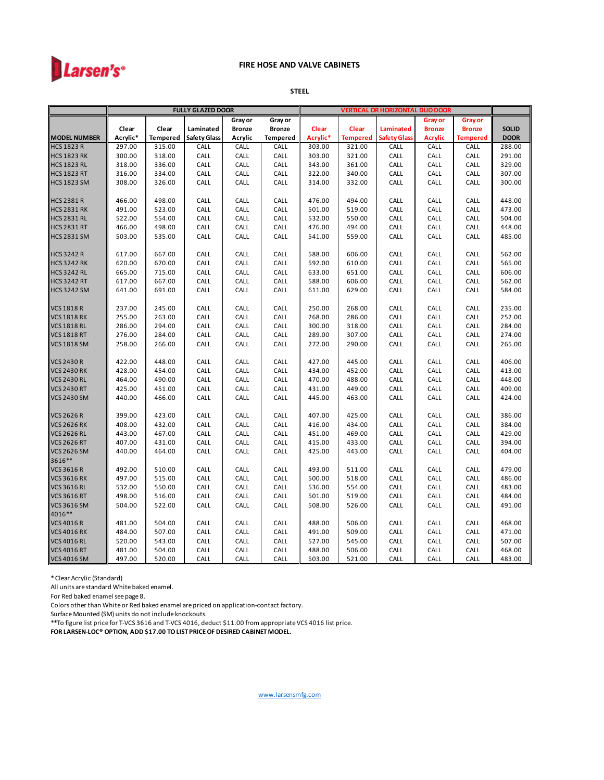

#### **STEEL**

|                     |          |                 | <b>FULLY GLAZED DOOR</b> |               |                 | <b>VERTICAL OR HORIZONTAL DUO DOOR</b> |                 |                     |                |                 |              |
|---------------------|----------|-----------------|--------------------------|---------------|-----------------|----------------------------------------|-----------------|---------------------|----------------|-----------------|--------------|
|                     |          |                 |                          | Gray or       | Gray or         |                                        |                 |                     | Gray or        | <b>Gray or</b>  |              |
|                     | Clear    | Clear           | Laminated                | <b>Bronze</b> | <b>Bronze</b>   | Clear                                  | <b>Clear</b>    | Laminated           | <b>Bronze</b>  | <b>Bronze</b>   | <b>SOLID</b> |
| <b>MODEL NUMBER</b> | Acrylic* | <b>Tempered</b> | <b>Safety Glass</b>      | Acrylic       | <b>Tempered</b> | Acrylic*                               | <b>Tempered</b> | <b>Safety Glass</b> | <b>Acrylic</b> | <b>Tempered</b> | <b>DOOR</b>  |
| <b>HCS 1823 R</b>   | 297.00   | 315.00          | CALL                     | CALL          | CALL            | 303.00                                 | 321.00          | CALL                | CALL           | CALL            | 288.00       |
| <b>HCS 1823 RK</b>  | 300.00   | 318.00          | CALL                     | CALL          | CALL            | 303.00                                 | 321.00          | CALL                | CALL           | CALL            | 291.00       |
| <b>HCS 1823 RL</b>  | 318.00   | 336.00          | CALL                     | CALL          | CALL            | 343.00                                 | 361.00          | CALL                | CALL           | CALL            | 329.00       |
| <b>HCS 1823 RT</b>  | 316.00   | 334.00          | CALL                     | CALL          | CALL            | 322.00                                 | 340.00          | CALL                | CALL           | CALL            | 307.00       |
| <b>HCS 1823 SM</b>  | 308.00   | 326.00          | CALL                     | CALL          | CALL            | 314.00                                 | 332.00          | CALL                | CALL           | CALL            | 300.00       |
|                     |          |                 |                          |               |                 |                                        |                 |                     |                |                 |              |
| <b>HCS 2381 R</b>   | 466.00   | 498.00          | CALL                     | CALL          | CALL            | 476.00                                 | 494.00          | CALL                | CALL           | CALL            | 448.00       |
| <b>HCS 2831 RK</b>  | 491.00   | 523.00          | CALL                     | CALL          | CALL            | 501.00                                 | 519.00          | CALL                | CALL           | CALL            | 473.00       |
| <b>HCS 2831 RL</b>  | 522.00   | 554.00          | CALL                     | CALL          | CALL            | 532.00                                 | 550.00          | CALL                | CALL           | CALL            | 504.00       |
| <b>HCS 2831 RT</b>  | 466.00   | 498.00          | CALL                     | CALL          | CALL            | 476.00                                 | 494.00          | CALL                | CALL           | CALL            | 448.00       |
| <b>HCS 2831 SM</b>  | 503.00   | 535.00          | CALL                     | CALL          | CALL            | 541.00                                 | 559.00          | CALL                | CALL           | CALL            | 485.00       |
|                     |          |                 |                          |               |                 |                                        |                 |                     |                |                 |              |
| <b>HCS 3242 R</b>   | 617.00   | 667.00          | CALL                     | CALL          | CALL            | 588.00                                 | 606.00          | CALL                | CALL           | CALL            | 562.00       |
| <b>HCS 3242 RK</b>  | 620.00   | 670.00          | CALL                     | CALL          | CALL            | 592.00                                 | 610.00          | CALL                | CALL           | CALL            | 565.00       |
| <b>HCS 3242 RL</b>  | 665.00   | 715.00          | CALL                     | CALL          | CALL            | 633.00                                 | 651.00          | CALL                | CALL           | CALL            | 606.00       |
| <b>HCS 3242 RT</b>  | 617.00   | 667.00          | CALL                     | CALL          | CALL            | 588.00                                 | 606.00          | CALL                | CALL           | CALL            | 562.00       |
| <b>HCS 3242 SM</b>  | 641.00   | 691.00          | CALL                     | CALL          | CALL            | 611.00                                 | 629.00          | CALL                | CALL           | CALL            | 584.00       |
|                     |          |                 |                          |               |                 |                                        |                 |                     |                |                 |              |
| <b>VCS 1818 R</b>   | 237.00   | 245.00          | CALL                     | CALL          | CALL            | 250.00                                 | 268.00          | CALL                | CALL           | CALL            | 235.00       |
| <b>VCS 1818 RK</b>  | 255.00   | 263.00          | CALL                     | CALL          | CALL            | 268.00                                 | 286.00          | CALL                | CALL           | CALL            | 252.00       |
| <b>VCS 1818 RL</b>  | 286.00   | 294.00          | CALL                     | CALL          | CALL            | 300.00                                 | 318.00          | CALL                | CALL           | CALL            | 284.00       |
| <b>VCS 1818 RT</b>  | 276.00   | 284.00          | CALL                     | CALL          | CALL            | 289.00                                 | 307.00          | CALL                | CALL           | CALL            | 274.00       |
| <b>VCS 1818 SM</b>  | 258.00   | 266.00          | CALL                     | CALL          | CALL            | 272.00                                 | 290.00          | CALL                | CALL           | CALL            | 265.00       |
|                     |          |                 |                          |               |                 |                                        |                 |                     |                |                 |              |
| <b>VCS 2430 R</b>   | 422.00   | 448.00          | CALL                     | CALL          | CALL            | 427.00                                 | 445.00          | CALL                | CALL           | CALL            | 406.00       |
| <b>VCS 2430 RK</b>  | 428.00   | 454.00          | CALL                     | CALL          | CALL            | 434.00                                 | 452.00          | CALL                | CALL           | CALL            | 413.00       |
| <b>VCS 2430 RL</b>  | 464.00   | 490.00          | CALL                     | CALL          | CALL            | 470.00                                 | 488.00          | CALL                | CALL           | CALL            | 448.00       |
| <b>VCS 2430 RT</b>  | 425.00   | 451.00          | CALL                     | CALL          | CALL            | 431.00                                 | 449.00          | CALL                | CALL           | CALL            | 409.00       |
| <b>VCS 2430 SM</b>  | 440.00   | 466.00          | CALL                     | CALL          | CALL            | 445.00                                 | 463.00          | CALL                | CALL           | CALL            | 424.00       |
|                     |          |                 |                          |               |                 |                                        |                 |                     |                |                 |              |
| <b>VCS 2626 R</b>   | 399.00   | 423.00          | CALL                     | CALL          | CALL            | 407.00                                 | 425.00          | CALL                | CALL           | CALL            | 386.00       |
| <b>VCS 2626 RK</b>  | 408.00   | 432.00          | CALL                     | CALL          | CALL            | 416.00                                 | 434.00          | CALL                | CALL           | CALL            | 384.00       |
| <b>VCS 2626 RL</b>  | 443.00   | 467.00          | CALL                     | CALL          | CALL            | 451.00                                 | 469.00          | CALL                | CALL           | CALL            | 429.00       |
| <b>VCS 2626 RT</b>  | 407.00   | 431.00          | CALL                     | CALL          | CALL            | 415.00                                 | 433.00          | CALL                | CALL           | CALL            | 394.00       |
| <b>VCS 2626 SM</b>  | 440.00   | 464.00          | CALL                     | CALL          | CALL            | 425.00                                 | 443.00          | CALL                | CALL           | CALL            | 404.00       |
| 3616**              |          |                 |                          |               |                 |                                        |                 |                     |                |                 |              |
| <b>VCS 3616 R</b>   | 492.00   | 510.00          | CALL                     | CALL          | CALL            | 493.00                                 | 511.00          | CALL                | CALL           | CALL            | 479.00       |
| <b>VCS 3616 RK</b>  | 497.00   | 515.00          | CALL                     | CALL          | CALL            | 500.00                                 | 518.00          | CALL                | CALL           | CALL            | 486.00       |
| <b>VCS 3616 RL</b>  | 532.00   | 550.00          | CALL                     | CALL          | CALL            | 536.00                                 | 554.00          | CALL                | CALL           | CALL            | 483.00       |
| <b>VCS 3616 RT</b>  | 498.00   | 516.00          | CALL                     | CALL          | CALL            | 501.00                                 | 519.00          | CALL                | CALL           | CALL            | 484.00       |
| <b>VCS 3616 SM</b>  | 504.00   | 522.00          | CALL                     | CALL          | CALL            | 508.00                                 | 526.00          | CALL                | CALL           | CALL            | 491.00       |
| 4016**              |          |                 |                          |               |                 |                                        |                 |                     |                |                 |              |
| <b>VCS 4016 R</b>   | 481.00   | 504.00          | CALL                     | CALL          | CALL            | 488.00                                 | 506.00          | CALL                | CALL           | CALL            | 468.00       |
| <b>VCS 4016 RK</b>  | 484.00   | 507.00          | CALL                     | CALL          | CALL            | 491.00                                 | 509.00          | CALL                | CALL           | CALL            | 471.00       |
| <b>VCS 4016 RL</b>  | 520.00   | 543.00          | CALL                     | CALL          | CALL            | 527.00                                 | 545.00          | CALL                | CALL           | CALL            | 507.00       |
| <b>VCS 4016 RT</b>  | 481.00   | 504.00          | CALL                     | CALL          | CALL            | 488.00                                 | 506.00          | CALL                | CALL           | CALL            | 468.00       |
| <b>VCS 4016 SM</b>  | 497.00   | 520.00          | CALL                     | CALL          | CALL            | 503.00                                 | 521.00          | CALL                | CALL           | CALL            | 483.00       |

\* Clear Acrylic (Standard)

All units are standard White baked enamel.

For Red baked enamel see page 8.

Colors other than White or Red baked enamel are priced on application-contact factory.

Surface Mounted (SM) units do not include knockouts.

\*\*To figure list price for T-VCS 3616 and T-VCS 4016, deduct \$11.00 from appropriate VCS 4016 list price. **FOR LARSEN-LOC® OPTION, ADD \$17.00 TO LIST PRICE OF DESIRED CABINET MODEL.**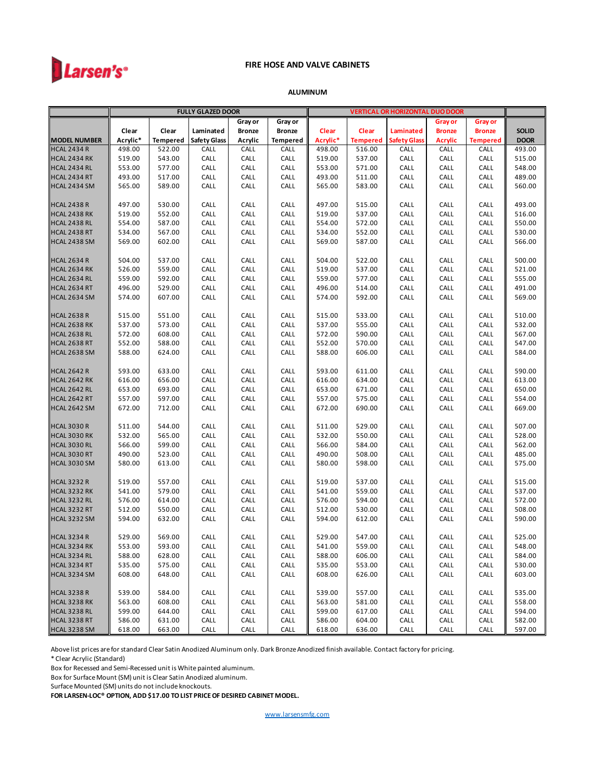

#### **ALUMINUM**

|                     |          |                 | <b>FULLY GLAZED DOOR</b> |               |                 | <b>VERTICAL OR HORIZONTAL DUO DOOR</b> |                 |                     |                |                 |              |
|---------------------|----------|-----------------|--------------------------|---------------|-----------------|----------------------------------------|-----------------|---------------------|----------------|-----------------|--------------|
|                     |          |                 |                          | Gray or       | Gray or         |                                        |                 |                     | Gray or        | Gray or         |              |
|                     | Clear    | Clear           | Laminated                | <b>Bronze</b> | <b>Bronze</b>   | Clear                                  | Clear           | Laminated           | <b>Bronze</b>  | <b>Bronze</b>   | <b>SOLID</b> |
| <b>MODEL NUMBER</b> | Acrylic* | <b>Tempered</b> | <b>Safety Glass</b>      | Acrylic       | <b>Tempered</b> | Acrylic*                               | <b>Tempered</b> | <b>Safety Glass</b> | <b>Acrylic</b> | <b>Tempered</b> | <b>DOOR</b>  |
| <b>HCAL 2434 R</b>  | 498.00   | 522.00          | CALL                     | CALL          | CALL            | 498.00                                 | 516.00          | CALL                | CALL           | CALL            | 493.00       |
| <b>HCAL 2434 RK</b> | 519.00   | 543.00          | CALL                     | CALL          | CALL            | 519.00                                 | 537.00          | CALL                | CALL           | CALL            | 515.00       |
| <b>HCAL 2434 RL</b> | 553.00   | 577.00          | CALL                     | CALL          | CALL            | 553.00                                 | 571.00          | CALL                | CALL           | CALL            | 548.00       |
| <b>HCAL 2434 RT</b> | 493.00   | 517.00          | CALL                     | CALL          | CALL            | 493.00                                 | 511.00          | CALL                | CALL           | CALL            | 489.00       |
| <b>HCAL 2434 SM</b> | 565.00   | 589.00          | CALL                     | CALL          | CALL            | 565.00                                 | 583.00          | CALL                | CALL           | CALL            | 560.00       |
| <b>HCAL 2438 R</b>  | 497.00   | 530.00          | CALL                     | CALL          | CALL            | 497.00                                 | 515.00          | CALL                | CALL           | CALL            | 493.00       |
| <b>HCAL 2438 RK</b> | 519.00   | 552.00          | CALL                     | CALL          | CALL            | 519.00                                 | 537.00          | CALL                | CALL           | CALL            | 516.00       |
| <b>HCAL 2438 RL</b> | 554.00   | 587.00          | CALL                     | CALL          | CALL            | 554.00                                 | 572.00          | CALL                | CALL           | CALL            | 550.00       |
| <b>HCAL 2438 RT</b> | 534.00   | 567.00          | CALL                     | CALL          | CALL            | 534.00                                 | 552.00          | CALL                | CALL           | CALL            | 530.00       |
| <b>HCAL 2438 SM</b> | 569.00   | 602.00          | CALL                     | CALL          | CALL            | 569.00                                 | 587.00          | CALL                | CALL           | CALL            | 566.00       |
| <b>HCAL 2634 R</b>  | 504.00   | 537.00          | CALL                     | CALL          | CALL            | 504.00                                 | 522.00          | CALL                | CALL           | CALL            | 500.00       |
| <b>HCAL 2634 RK</b> | 526.00   | 559.00          | CALL                     | CALL          | CALL            | 519.00                                 | 537.00          | CALL                | CALL           | CALL            | 521.00       |
| <b>HCAL 2634 RL</b> | 559.00   | 592.00          | CALL                     | CALL          | CALL            | 559.00                                 | 577.00          | CALL                | CALL           | CALL            | 555.00       |
| <b>HCAL 2634 RT</b> | 496.00   | 529.00          | CALL                     | CALL          | CALL            | 496.00                                 | 514.00          | CALL                | CALL           | CALL            | 491.00       |
| <b>HCAL 2634 SM</b> | 574.00   | 607.00          | CALL                     | CALL          | CALL            | 574.00                                 | 592.00          | CALL                | CALL           | CALL            | 569.00       |
| <b>HCAL 2638 R</b>  | 515.00   | 551.00          | CALL                     | CALL          | CALL            | 515.00                                 | 533.00          | CALL                | CALL           | CALL            | 510.00       |
| <b>HCAL 2638 RK</b> | 537.00   | 573.00          | CALL                     | CALL          | CALL            | 537.00                                 | 555.00          | CALL                | CALL           | CALL            | 532.00       |
| <b>HCAL 2638 RL</b> | 572.00   | 608.00          | CALL                     | CALL          | CALL            | 572.00                                 | 590.00          | CALL                | CALL           | CALL            | 567.00       |
| <b>HCAL 2638 RT</b> | 552.00   | 588.00          | CALL                     | CALL          | CALL            | 552.00                                 | 570.00          | CALL                | CALL           | CALL            | 547.00       |
| <b>HCAL 2638 SM</b> | 588.00   | 624.00          | CALL                     | CALL          | CALL            | 588.00                                 | 606.00          | CALL                | CALL           | CALL            | 584.00       |
| <b>HCAL 2642 R</b>  | 593.00   | 633.00          | CALL                     | CALL          | CALL            | 593.00                                 | 611.00          | CALL                | CALL           | CALL            | 590.00       |
| <b>HCAL 2642 RK</b> | 616.00   | 656.00          | CALL                     | CALL          | CALL            | 616.00                                 | 634.00          | CALL                | CALL           | CALL            | 613.00       |
| <b>HCAL 2642 RL</b> | 653.00   | 693.00          | CALL                     | CALL          | CALL            | 653.00                                 | 671.00          | CALL                | CALL           | CALL            | 650.00       |
| <b>HCAL 2642 RT</b> | 557.00   | 597.00          | CALL                     | CALL          | CALL            | 557.00                                 | 575.00          | CALL                | CALL           | CALL            | 554.00       |
| <b>HCAL 2642 SM</b> | 672.00   | 712.00          | CALL                     | CALL          | CALL            | 672.00                                 | 690.00          | CALL                | CALL           | CALL            | 669.00       |
| <b>HCAL 3030 R</b>  | 511.00   | 544.00          | CALL                     | CALL          | CALL            | 511.00                                 | 529.00          | CALL                | CALL           | CALL            | 507.00       |
| <b>HCAL 3030 RK</b> | 532.00   | 565.00          | CALL                     | CALL          | CALL            | 532.00                                 | 550.00          | CALL                | CALL           | CALL            | 528.00       |
| <b>HCAL 3030 RL</b> | 566.00   | 599.00          | CALL                     | CALL          | CALL            | 566.00                                 | 584.00          | CALL                | CALL           | CALL            | 562.00       |
| <b>HCAL 3030 RT</b> | 490.00   | 523.00          | CALL                     | CALL          | CALL            | 490.00                                 | 508.00          | CALL                | CALL           | CALL            | 485.00       |
| <b>HCAL 3030 SM</b> | 580.00   | 613.00          | CALL                     | CALL          | CALL            | 580.00                                 | 598.00          | CALL                | CALL           | CALL            | 575.00       |
| <b>HCAL 3232 R</b>  | 519.00   | 557.00          | CALL                     | CALL          | CALL            | 519.00                                 | 537.00          | CALL                | CALL           | CALL            | 515.00       |
| <b>HCAL 3232 RK</b> | 541.00   | 579.00          | CALL                     | CALL          | CALL            | 541.00                                 | 559.00          | CALL                | CALL           | CALL            | 537.00       |
| <b>HCAL 3232 RL</b> | 576.00   | 614.00          | CALL                     | CALL          | CALL            | 576.00                                 | 594.00          | CALL                | CALL           | CALL            | 572.00       |
| <b>HCAL 3232 RT</b> | 512.00   | 550.00          | CALL                     | CALL          | CALL            | 512.00                                 | 530.00          | CALL                | CALL           | CALL            | 508.00       |
| <b>HCAL 3232 SM</b> | 594.00   | 632.00          | CALL                     | CALL          | CALL            | 594.00                                 | 612.00          | CALL                | CALL           | CALL            | 590.00       |
| <b>HCAL 3234 R</b>  | 529.00   | 569.00          | CALL                     | CALL          | CALL            | 529.00                                 | 547.00          | CALL                | CALL           | CALL            | 525.00       |
| <b>HCAL 3234 RK</b> | 553.00   | 593.00          | CALL                     | CALL          | CALL            | 541.00                                 | 559.00          | CALL                | CALL           | CALL            | 548.00       |
| <b>HCAL 3234 RL</b> | 588.00   | 628.00          | CALL                     | CALL          | CALL            | 588.00                                 | 606.00          | CALL                | CALL           | CALL            | 584.00       |
| <b>HCAL 3234 RT</b> | 535.00   | 575.00          | CALL                     | CALL          | CALL            | 535.00                                 | 553.00          | CALL                | CALL           | CALL            | 530.00       |
| <b>HCAL 3234 SM</b> | 608.00   | 648.00          | CALL                     | CALL          | CALL            | 608.00                                 | 626.00          | CALL                | CALL           | CALL            | 603.00       |
| <b>HCAL 3238 R</b>  | 539.00   | 584.00          | CALL                     | CALL          | CALL            | 539.00                                 | 557.00          | CALL                | CALL           | CALL            | 535.00       |
| <b>HCAL 3238 RK</b> | 563.00   | 608.00          | CALL                     | CALL          | CALL            | 563.00                                 | 581.00          | CALL                | CALL           | CALL            | 558.00       |
| <b>HCAL 3238 RL</b> | 599.00   | 644.00          | CALL                     | CALL          | CALL            | 599.00                                 | 617.00          | CALL                | CALL           | CALL            | 594.00       |
| <b>HCAL 3238 RT</b> | 586.00   | 631.00          | CALL                     | CALL          | CALL            | 586.00                                 | 604.00          | CALL                | CALL           | CALL            | 582.00       |
| <b>HCAL 3238 SM</b> | 618.00   | 663.00          | CALL                     | CALL          | CALL            | 618.00                                 | 636.00          | CALL                | CALL           | CALL            | 597.00       |

Above list prices are for standard Clear Satin Anodized Aluminum only. Dark Bronze Anodized finish available. Contact factory for pricing.

\* Clear Acrylic (Standard)

Box for Recessed and Semi-Recessed unit is White painted aluminum.

Box for Surface Mount (SM) unit is Clear Satin Anodized aluminum.

Surface Mounted (SM) units do not include knockouts.

**FOR LARSEN-LOC® OPTION, ADD \$17.00 TO LIST PRICE OF DESIRED CABINET MODEL.**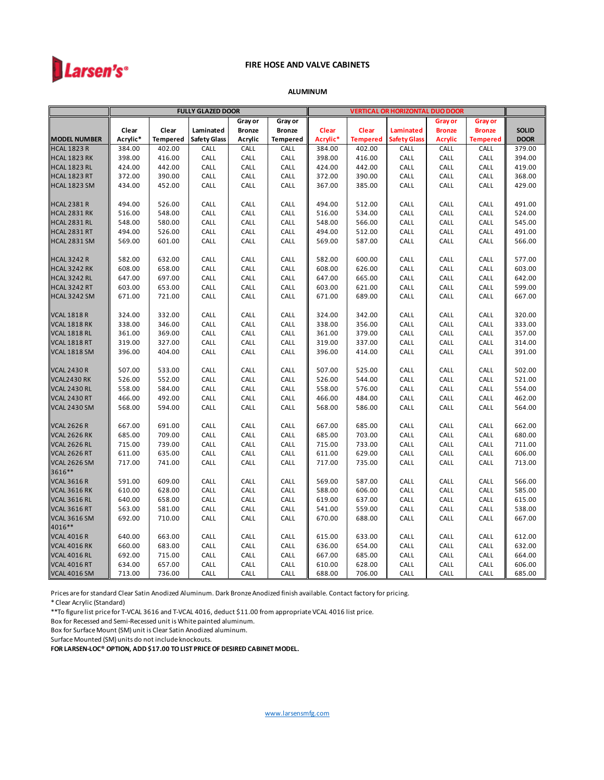

#### **ALUMINUM**

|                                            |                  |                  | <b>FULLY GLAZED DOOR</b> |               |                 | <b>VERTICAL OR HORIZONTAL DUO DOOR</b> |                  |                     |                |                 |                  |
|--------------------------------------------|------------------|------------------|--------------------------|---------------|-----------------|----------------------------------------|------------------|---------------------|----------------|-----------------|------------------|
|                                            |                  |                  |                          | Gray or       | Gray or         |                                        |                  |                     | Gray or        | <b>Gray or</b>  |                  |
|                                            | Clear            | Clear            | Laminated                | <b>Bronze</b> | <b>Bronze</b>   | Clear                                  | Clear            | <b>Laminated</b>    | <b>Bronze</b>  | <b>Bronze</b>   | <b>SOLID</b>     |
| <b>MODEL NUMBER</b>                        | Acrylic*         | <b>Tempered</b>  | <b>Safety Glass</b>      | Acrylic       | <b>Tempered</b> | Acrylic*                               | <b>Tempered</b>  | <b>Safety Glass</b> | <b>Acrylic</b> | <b>Tempered</b> | <b>DOOR</b>      |
| <b>HCAL 1823 R</b>                         | 384.00           | 402.00           | CALL                     | CALL          | CALL            | 384.00                                 | 402.00           | CALL                | CALL           | CALL            | 379.00           |
| <b>HCAL 1823 RK</b>                        | 398.00           | 416.00           | CALL                     | CALL          | CALL            | 398.00                                 | 416.00           | CALL                | CALL           | CALL            | 394.00           |
| <b>HCAL 1823 RL</b>                        | 424.00           | 442.00           | CALL                     | CALL          | CALL            | 424.00                                 | 442.00           | CALL                | CALL           | CALL            | 419.00           |
| <b>HCAL 1823 RT</b>                        | 372.00           | 390.00           | CALL                     | CALL          | CALL            | 372.00                                 | 390.00           | CALL                | CALL           | CALL            | 368.00           |
| <b>HCAL 1823 SM</b>                        | 434.00           | 452.00           | CALL                     | CALL          | CALL            | 367.00                                 | 385.00           | CALL                | CALL           | CALL            | 429.00           |
|                                            |                  |                  |                          |               |                 |                                        |                  |                     |                |                 |                  |
| <b>HCAL 2381 R</b>                         | 494.00           | 526.00           | CALL                     | CALL          | CALL            | 494.00                                 | 512.00           | CALL                | CALL           | CALL            | 491.00           |
| <b>HCAL 2831 RK</b>                        | 516.00           | 548.00           | CALL                     | CALL          | CALL            | 516.00                                 | 534.00           | CALL                | CALL           | CALL            | 524.00           |
| <b>HCAL 2831 RL</b>                        | 548.00           | 580.00           | CALL                     | CALL          | CALL            | 548.00                                 | 566.00           | CALL                | CALL           | CALL            | 545.00           |
| <b>HCAL 2831 RT</b>                        | 494.00           | 526.00           | CALL                     | CALL          | CALL            | 494.00                                 | 512.00           | CALL                | CALL           | CALL            | 491.00           |
| <b>HCAL 2831 SM</b>                        | 569.00           | 601.00           | CALL                     | CALL          | CALL            | 569.00                                 | 587.00           | CALL                | CALL           | CALL            | 566.00           |
|                                            |                  |                  |                          |               |                 |                                        |                  |                     |                |                 |                  |
| <b>HCAL 3242 R</b>                         | 582.00           | 632.00           | CALL                     | CALL          | CALL            | 582.00                                 | 600.00           | CALL                | CALL           | CALL            | 577.00           |
| <b>HCAL 3242 RK</b>                        | 608.00           | 658.00<br>697.00 | CALL                     | CALL          | CALL            | 608.00                                 | 626.00           | CALL                | CALL           | CALL<br>CALL    | 603.00<br>642.00 |
| <b>HCAL 3242 RL</b><br><b>HCAL 3242 RT</b> | 647.00<br>603.00 |                  | CALL                     | CALL          | CALL            | 647.00                                 | 665.00           | CALL                | CALL           |                 | 599.00           |
| <b>HCAL 3242 SM</b>                        | 671.00           | 653.00<br>721.00 | CALL<br>CALL             | CALL<br>CALL  | CALL<br>CALL    | 603.00<br>671.00                       | 621.00<br>689.00 | CALL<br>CALL        | CALL<br>CALL   | CALL            |                  |
|                                            |                  |                  |                          |               |                 |                                        |                  |                     |                | CALL            | 667.00           |
| <b>VCAL 1818 R</b>                         | 324.00           | 332.00           | CALL                     | CALL          | CALL            | 324.00                                 | 342.00           | CALL                | CALL           | CALL            | 320.00           |
| <b>VCAL 1818 RK</b>                        | 338.00           | 346.00           | CALL                     | CALL          | CALL            | 338.00                                 | 356.00           | CALL                | CALL           | CALL            | 333.00           |
| <b>VCAL 1818 RL</b>                        | 361.00           | 369.00           | CALL                     | CALL          | CALL            | 361.00                                 | 379.00           | CALL                | CALL           | CALL            | 357.00           |
| <b>VCAL 1818 RT</b>                        | 319.00           | 327.00           | CALL                     | CALL          | CALL            | 319.00                                 | 337.00           | CALL                | CALL           | CALL            | 314.00           |
| <b>VCAL 1818 SM</b>                        | 396.00           | 404.00           | CALL                     | CALL          | CALL            | 396.00                                 | 414.00           | CALL                | CALL           | CALL            | 391.00           |
|                                            |                  |                  |                          |               |                 |                                        |                  |                     |                |                 |                  |
| <b>VCAL 2430 R</b>                         | 507.00           | 533.00           | CALL                     | CALL          | CALL            | 507.00                                 | 525.00           | CALL                | CALL           | CALL            | 502.00           |
| <b>VCAL2430 RK</b>                         | 526.00           | 552.00           | CALL                     | CALL          | CALL            | 526.00                                 | 544.00           | CALL                | CALL           | CALL            | 521.00           |
| <b>VCAL 2430 RL</b>                        | 558.00           | 584.00           | CALL                     | CALL          | CALL            | 558.00                                 | 576.00           | CALL                | CALL           | CALL            | 554.00           |
| <b>VCAL 2430 RT</b>                        | 466.00           | 492.00           | CALL                     | CALL          | CALL            | 466.00                                 | 484.00           | CALL                | CALL           | CALL            | 462.00           |
| <b>VCAL 2430 SM</b>                        | 568.00           | 594.00           | CALL                     | CALL          | CALL            | 568.00                                 | 586.00           | CALL                | CALL           | CALL            | 564.00           |
|                                            |                  |                  |                          |               |                 |                                        |                  |                     |                |                 |                  |
| <b>VCAL 2626 R</b>                         | 667.00           | 691.00           | CALL                     | CALL          | CALL            | 667.00                                 | 685.00           | CALL                | CALL           | CALL            | 662.00           |
| <b>VCAL 2626 RK</b>                        | 685.00           | 709.00           | CALL                     | CALL          | CALL            | 685.00                                 | 703.00           | CALL                | CALL           | CALL            | 680.00           |
| <b>VCAL 2626 RL</b>                        | 715.00           | 739.00           | CALL                     | CALL          | CALL            | 715.00                                 | 733.00           | CALL                | CALL           | CALL            | 711.00           |
| <b>VCAL 2626 RT</b>                        | 611.00           | 635.00           | CALL                     | CALL          | CALL            | 611.00                                 | 629.00           | CALL                | CALL           | CALL            | 606.00           |
| <b>VCAL 2626 SM</b>                        | 717.00           | 741.00           | CALL                     | CALL          | CALL            | 717.00                                 | 735.00           | CALL                | CALL           | CALL            | 713.00           |
| 3616**                                     |                  |                  |                          |               |                 |                                        |                  |                     |                |                 |                  |
| <b>VCAL 3616 R</b>                         | 591.00           | 609.00           | CALL                     | CALL          | CALL            | 569.00                                 | 587.00           | CALL                | CALL           | CALL            | 566.00           |
| <b>VCAL 3616 RK</b>                        | 610.00           | 628.00           | CALL                     | CALL          | CALL            | 588.00                                 | 606.00           | CALL                | CALL           | CALL            | 585.00           |
| <b>VCAL 3616 RL</b>                        | 640.00           | 658.00           | CALL                     | CALL          | CALL            | 619.00                                 | 637.00           | CALL                | CALL           | CALL            | 615.00           |
| <b>VCAL 3616 RT</b>                        | 563.00           | 581.00           | CALL                     | CALL          | CALL            | 541.00                                 | 559.00           | CALL                | CALL           | CALL            | 538.00           |
| <b>VCAL 3616 SM</b>                        | 692.00           | 710.00           | CALL                     | CALL          | CALL            | 670.00                                 | 688.00           | CALL                | CALL           | CALL            | 667.00           |
| 4016**                                     |                  |                  |                          |               |                 |                                        |                  |                     |                |                 |                  |
| <b>VCAL 4016 R</b>                         | 640.00           | 663.00           | CALL                     | CALL          | CALL            | 615.00                                 | 633.00           | CALL                | CALL           | CALL            | 612.00           |
| <b>VCAL 4016 RK</b>                        | 660.00           | 683.00           | CALL                     | CALL          | CALL            | 636.00                                 | 654.00           | CALL                | CALL           | CALL            | 632.00           |
| <b>VCAL 4016 RL</b>                        | 692.00           | 715.00           | CALL                     | CALL          | CALL            | 667.00                                 | 685.00           | CALL                | CALL           | CALL            | 664.00           |
| <b>VCAL 4016 RT</b>                        | 634.00           | 657.00           | CALL                     | CALL          | CALL            | 610.00                                 | 628.00           | CALL                | CALL           | CALL            | 606.00           |
| <b>VCAL 4016 SM</b>                        | 713.00           | 736.00           | CALL                     | CALL          | CALL            | 688.00                                 | 706.00           | CALL                | CALL           | CALL            | 685.00           |

Prices are for standard Clear Satin Anodized Aluminum. Dark Bronze Anodized finish available. Contact factory for pricing.

\* Clear Acrylic (Standard)

\*\*To figure list price for T-VCAL 3616 and T-VCAL 4016, deduct \$11.00 from appropriate VCAL 4016 list price.

Box for Recessed and Semi-Recessed unit is White painted aluminum.

Box for Surface Mount (SM) unit is Clear Satin Anodized aluminum.

Surface Mounted (SM) units do not include knockouts.

**FOR LARSEN-LOC® OPTION, ADD \$17.00 TO LIST PRICE OF DESIRED CABINET MODEL.**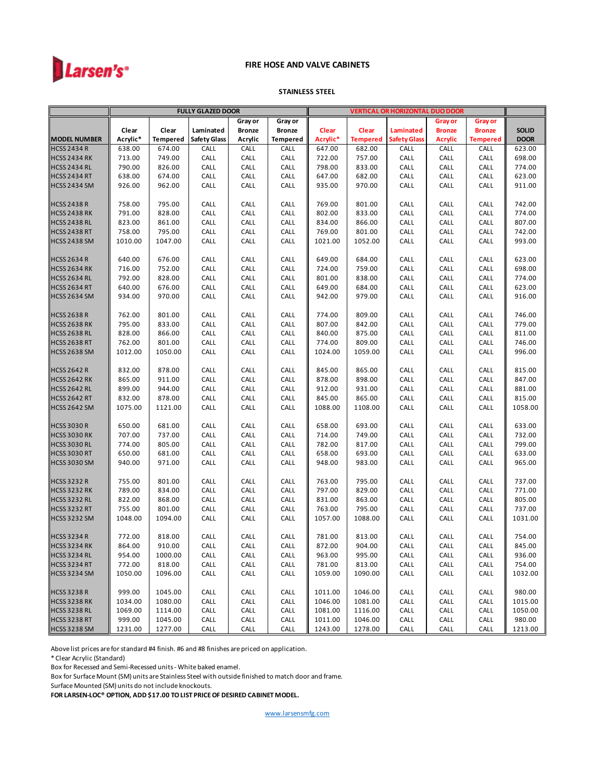

#### **STAINLESS STEEL**

|                     |          |                 | <b>FULLY GLAZED DOOR</b> |               |                 | <b>VERTICAL OR HORIZONTAL DUO DOOR</b> |                 |                     |                |                 |              |
|---------------------|----------|-----------------|--------------------------|---------------|-----------------|----------------------------------------|-----------------|---------------------|----------------|-----------------|--------------|
|                     |          |                 |                          | Gray or       | Gray or         |                                        |                 |                     | Gray or        |                 |              |
|                     | Clear    | Clear           | Laminated                | <b>Bronze</b> | <b>Bronze</b>   | Clear                                  | Clear           | Laminated           | <b>Bronze</b>  | <b>Bronze</b>   | <b>SOLID</b> |
| <b>MODEL NUMBER</b> | Acrylic* | <b>Tempered</b> | <b>Safety Glass</b>      | Acrylic       | <b>Tempered</b> | Acrylic*                               | <b>Tempered</b> | <b>Safety Glass</b> | <b>Acrylic</b> | <b>Tempered</b> | <b>DOOR</b>  |
| <b>HCSS 2434 R</b>  | 638.00   | 674.00          | CALL                     | CALL          | CALL            | 647.00                                 | 682.00          | CALL                | CALL           | CALL            | 623.00       |
| <b>HCSS 2434 RK</b> | 713.00   | 749.00          | CALL                     | CALL          | CALL            | 722.00                                 | 757.00          | CALL                | CALL           | CALL            | 698.00       |
| <b>HCSS 2434 RL</b> | 790.00   | 826.00          | CALL                     | CALL          | CALL            | 798.00                                 | 833.00          | CALL                | CALL           | CALL            | 774.00       |
| <b>HCSS 2434 RT</b> | 638.00   | 674.00          | CALL                     | CALL          | CALL            | 647.00                                 | 682.00          | CALL                | CALL           | CALL            | 623.00       |
| <b>HCSS 2434 SM</b> | 926.00   | 962.00          | CALL                     | CALL          | CALL            | 935.00                                 | 970.00          | CALL                | CALL           | CALL            | 911.00       |
|                     |          |                 |                          |               |                 |                                        |                 |                     |                |                 |              |
| <b>HCSS 2438 R</b>  | 758.00   | 795.00          | CALL                     | CALL          | CALL            | 769.00                                 | 801.00          | CALL                | CALL           | CALL            | 742.00       |
| <b>HCSS 2438 RK</b> | 791.00   | 828.00          | CALL                     | CALL          | CALL            | 802.00                                 | 833.00          | CALL                | CALL           | CALL            | 774.00       |
| <b>HCSS 2438 RL</b> | 823.00   | 861.00          | CALL                     | CALL          | CALL            | 834.00                                 | 866.00          | CALL                | CALL           | CALL            | 807.00       |
| <b>HCSS 2438 RT</b> | 758.00   | 795.00          | CALL                     | CALL          | CALL            | 769.00                                 | 801.00          | CALL                | CALL           | CALL            | 742.00       |
| <b>HCSS 2438 SM</b> | 1010.00  | 1047.00         | CALL                     | CALL          | CALL            | 1021.00                                | 1052.00         | CALL                | CALL           | CALL            | 993.00       |
|                     |          |                 |                          |               |                 |                                        |                 |                     |                |                 |              |
| <b>HCSS 2634 R</b>  | 640.00   | 676.00          | CALL                     | CALL          | CALL            | 649.00                                 | 684.00          | CALL                | CALL           | CALL            | 623.00       |
| <b>HCSS 2634 RK</b> | 716.00   | 752.00          | CALL                     | CALL          | CALL            | 724.00                                 | 759.00          | CALL                | CALL           | CALL            | 698.00       |
| <b>HCSS 2634 RL</b> | 792.00   | 828.00          | CALL                     | CALL          | CALL            | 801.00                                 | 838.00          | CALL                | CALL           | CALL            | 774.00       |
| <b>HCSS 2634 RT</b> | 640.00   | 676.00          | CALL                     | CALL          | CALL            | 649.00                                 | 684.00          | CALL                | CALL           | CALL            | 623.00       |
| <b>HCSS 2634 SM</b> | 934.00   | 970.00          | CALL                     | CALL          | CALL            | 942.00                                 | 979.00          | CALL                | CALL           | CALL            | 916.00       |
|                     |          |                 |                          |               |                 |                                        |                 |                     |                |                 |              |
| <b>HCSS 2638 R</b>  | 762.00   | 801.00          | CALL                     | CALL          | CALL            | 774.00                                 | 809.00          | CALL                | CALL           | CALL            | 746.00       |
| <b>HCSS 2638 RK</b> | 795.00   | 833.00          | CALL                     | CALL          | CALL            | 807.00                                 | 842.00          | CALL                | CALL           | CALL            | 779.00       |
|                     | 828.00   | 866.00          | CALL                     | CALL          | CALL            | 840.00                                 | 875.00          | CALL                | CALL           | CALL            | 811.00       |
| <b>HCSS 2638 RL</b> |          |                 |                          |               |                 |                                        |                 |                     |                |                 | 746.00       |
| <b>HCSS 2638 RT</b> | 762.00   | 801.00          | CALL                     | CALL          | CALL            | 774.00                                 | 809.00          | CALL                | CALL           | CALL            |              |
| <b>HCSS 2638 SM</b> | 1012.00  | 1050.00         | CALL                     | CALL          | CALL            | 1024.00                                | 1059.00         | CALL                | CALL           | CALL            | 996.00       |
|                     |          |                 |                          |               |                 |                                        |                 |                     |                |                 |              |
| <b>HCSS 2642 R</b>  | 832.00   | 878.00          | CALL                     | CALL          | CALL            | 845.00                                 | 865.00          | CALL                | CALL           | CALL            | 815.00       |
| <b>HCSS 2642 RK</b> | 865.00   | 911.00          | CALL                     | CALL          | CALL            | 878.00                                 | 898.00          | CALL                | CALL           | CALL            | 847.00       |
| <b>HCSS 2642 RL</b> | 899.00   | 944.00          | CALL                     | CALL          | CALL            | 912.00                                 | 931.00          | CALL                | CALL           | CALL            | 881.00       |
| <b>HCSS 2642 RT</b> | 832.00   | 878.00          | CALL                     | CALL          | CALL            | 845.00                                 | 865.00          | CALL                | CALL           | CALL            | 815.00       |
| <b>HCSS 2642 SM</b> | 1075.00  | 1121.00         | CALL                     | CALL          | CALL            | 1088.00                                | 1108.00         | CALL                | CALL           | CALL            | 1058.00      |
|                     |          |                 |                          |               |                 |                                        |                 |                     |                |                 |              |
| <b>HCSS 3030 R</b>  | 650.00   | 681.00          | CALL                     | CALL          | CALL            | 658.00                                 | 693.00          | CALL                | CALL           | CALL            | 633.00       |
| <b>HCSS 3030 RK</b> | 707.00   | 737.00          | CALL                     | CALL          | CALL            | 714.00                                 | 749.00          | CALL                | CALL           | CALL            | 732.00       |
| <b>HCSS 3030 RL</b> | 774.00   | 805.00          | CALL                     | CALL          | CALL            | 782.00                                 | 817.00          | CALL                | CALL           | CALL            | 799.00       |
| <b>HCSS 3030 RT</b> | 650.00   | 681.00          | CALL                     | CALL          | CALL            | 658.00                                 | 693.00          | CALL                | CALL           | CALL            | 633.00       |
| <b>HCSS 3030 SM</b> | 940.00   | 971.00          | CALL                     | CALL          | CALL            | 948.00                                 | 983.00          | CALL                | CALL           | CALL            | 965.00       |
|                     |          |                 |                          |               |                 |                                        |                 |                     |                |                 |              |
| <b>HCSS 3232 R</b>  | 755.00   | 801.00          | CALL                     | CALL          | CALL            | 763.00                                 | 795.00          | CALL                | CALL           | CALL            | 737.00       |
| <b>HCSS 3232 RK</b> | 789.00   | 834.00          | CALL                     | CALL          | CALL            | 797.00                                 | 829.00          | CALL                | CALL           | CALL            | 771.00       |
| <b>HCSS 3232 RL</b> | 822.00   | 868.00          | CALL                     | CALL          | CALL            | 831.00                                 | 863.00          | CALL                | CALL           | CALL            | 805.00       |
| <b>HCSS 3232 RT</b> | 755.00   | 801.00          | CALL                     | CALL          | CALL            | 763.00                                 | 795.00          | CALL                | CALL           | CALL            | 737.00       |
| <b>HCSS 3232 SM</b> | 1048.00  | 1094.00         | CALL                     | CALL          | CALL            | 1057.00                                | 1088.00         | CALL                | CALL           | CALL            | 1031.00      |
|                     |          |                 |                          |               |                 |                                        |                 |                     |                |                 |              |
| <b>HCSS 3234 R</b>  | 772.00   | 818.00          | CALL                     | CALL          | CALL            | 781.00                                 | 813.00          | CALL                | CALL           | CALL            | 754.00       |
| <b>HCSS 3234 RK</b> | 864.00   | 910.00          | CALL                     | CALL          | CALL            | 872.00                                 | 904.00          | CALL                | CALL           | CALL            | 845.00       |
| <b>HCSS 3234 RL</b> | 954.00   | 1000.00         | CALL                     | CALL          | CALL            | 963.00                                 | 995.00          | CALL                | CALL           | CALL            | 936.00       |
| <b>HCSS 3234 RT</b> | 772.00   | 818.00          | CALL                     | CALL          | CALL            | 781.00                                 | 813.00          | CALL                | CALL           | CALL            | 754.00       |
| <b>HCSS 3234 SM</b> | 1050.00  | 1096.00         | CALL                     | CALL          | CALL            | 1059.00                                | 1090.00         | CALL                | CALL           | CALL            | 1032.00      |
|                     |          |                 |                          |               |                 |                                        |                 |                     |                |                 |              |
| <b>HCSS 3238 R</b>  | 999.00   | 1045.00         | CALL                     | CALL          | CALL            | 1011.00                                | 1046.00         | CALL                | CALL           | CALL            | 980.00       |
| <b>HCSS 3238 RK</b> | 1034.00  | 1080.00         | CALL                     | CALL          | CALL            | 1046.00                                | 1081.00         | CALL                | CALL           | CALL            | 1015.00      |
| <b>HCSS 3238 RL</b> | 1069.00  | 1114.00         | CALL                     | CALL          | CALL            | 1081.00                                | 1116.00         | CALL                | CALL           | CALL            | 1050.00      |
| <b>HCSS 3238 RT</b> | 999.00   | 1045.00         | CALL                     | CALL          | CALL            | 1011.00                                | 1046.00         | CALL                | CALL           | CALL            | 980.00       |
| <b>HCSS 3238 SM</b> | 1231.00  | 1277.00         | CALL                     | CALL          | CALL            | 1243.00                                | 1278.00         | CALL                | CALL           | CALL            | 1213.00      |

Above list prices are for standard #4 finish. #6 and #8 finishes are priced on application.

\* Clear Acrylic (Standard)

Box for Recessed and Semi-Recessed units - White baked enamel.

Box for Surface Mount (SM) units are Stainless Steel with outside finished to match door and frame.

Surface Mounted (SM) units do not include knockouts.

**FOR LARSEN-LOC® OPTION, ADD \$17.00 TO LIST PRICE OF DESIRED CABINET MODEL.**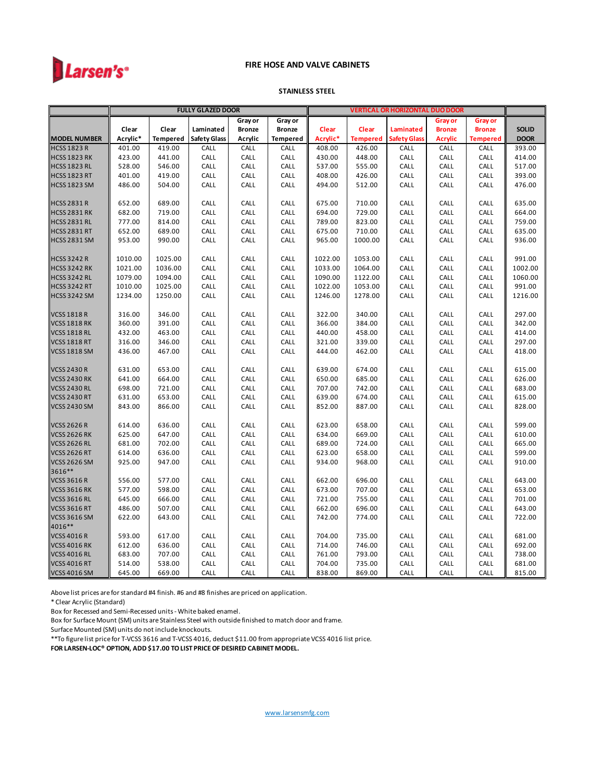

#### **STAINLESS STEEL**

|                     |          |                 | <b>FULLY GLAZED DOOR</b> |               |                 | <b>VERTICAL OR HORIZONTAL DUO DOOR</b> |                    |                     |                |                 |              |
|---------------------|----------|-----------------|--------------------------|---------------|-----------------|----------------------------------------|--------------------|---------------------|----------------|-----------------|--------------|
|                     |          |                 |                          | Gray or       | Gray or         |                                        | Gray or<br>Gray or |                     |                |                 |              |
|                     | Clear    | Clear           | Laminated                | <b>Bronze</b> | Bronze          | Clear                                  | Clear              | Laminated           | <b>Bronze</b>  | <b>Bronze</b>   | <b>SOLID</b> |
| <b>MODEL NUMBER</b> | Acrylic* | <b>Tempered</b> | <b>Safety Glass</b>      | Acrylic       | <b>Tempered</b> | Acrylic*                               | <b>Tempered</b>    | <b>Safety Glass</b> | <b>Acrylic</b> | <b>Tempered</b> | <b>DOOR</b>  |
| <b>HCSS 1823 R</b>  | 401.00   | 419.00          | CALL                     | CALL          | CALL            | 408.00                                 | 426.00             | CALL                | CALL           | CALL            | 393.00       |
| <b>HCSS 1823 RK</b> | 423.00   | 441.00          | CALL                     | CALL          | CALL            | 430.00                                 | 448.00             | CALL                | CALL           | CALL            | 414.00       |
| <b>HCSS 1823 RL</b> | 528.00   | 546.00          | CALL                     | CALL          | CALL            | 537.00                                 | 555.00             | CALL                | CALL           | CALL            | 517.00       |
| <b>HCSS 1823 RT</b> | 401.00   | 419.00          | CALL                     | CALL          | CALL            | 408.00                                 | 426.00             | CALL                | CALL           | CALL            | 393.00       |
| <b>HCSS 1823 SM</b> | 486.00   | 504.00          | CALL                     | CALL          | CALL            | 494.00                                 | 512.00             | CALL                | CALL           | CALL            | 476.00       |
|                     |          |                 |                          |               |                 |                                        |                    |                     |                |                 |              |
| <b>HCSS 2831 R</b>  | 652.00   | 689.00          | CALL                     | CALL          | CALL            | 675.00                                 | 710.00             | CALL                | CALL           | CALL            | 635.00       |
| <b>HCSS 2831 RK</b> | 682.00   | 719.00          | CALL                     | CALL          | CALL            | 694.00                                 | 729.00             | CALL                | CALL           | CALL            | 664.00       |
| <b>HCSS 2831 RL</b> | 777.00   | 814.00          | CALL                     | CALL          | CALL            | 789.00                                 | 823.00             | CALL                | CALL           | CALL            | 759.00       |
| <b>HCSS 2831 RT</b> | 652.00   | 689.00          | CALL                     | CALL          | CALL            | 675.00                                 | 710.00             | CALL                | CALL           | CALL            | 635.00       |
| <b>HCSS 2831 SM</b> | 953.00   | 990.00          | CALL                     | CALL          | CALL            | 965.00                                 | 1000.00            | CALL                | CALL           | CALL            | 936.00       |
|                     |          |                 |                          |               |                 |                                        |                    |                     |                |                 |              |
| <b>HCSS 3242 R</b>  | 1010.00  | 1025.00         | CALL                     | CALL          | CALL            | 1022.00                                | 1053.00            | CALL                | CALL           | CALL            | 991.00       |
| <b>HCSS 3242 RK</b> | 1021.00  | 1036.00         | CALL                     | CALL          | CALL            | 1033.00                                | 1064.00            | CALL                | CALL           | CALL            | 1002.00      |
| <b>HCSS 3242 RL</b> | 1079.00  | 1094.00         | CALL                     | CALL          | CALL            | 1090.00                                | 1122.00            | CALL                | CALL           | CALL            | 1060.00      |
| <b>HCSS 3242 RT</b> | 1010.00  | 1025.00         | CALL                     | CALL          | CALL            | 1022.00                                | 1053.00            | CALL                | CALL           | CALL            | 991.00       |
| <b>HCSS 3242 SM</b> | 1234.00  | 1250.00         | CALL                     | CALL          | CALL            | 1246.00                                | 1278.00            | CALL                | CALL           | CALL            | 1216.00      |
| <b>VCSS 1818 R</b>  | 316.00   | 346.00          | CALL                     | CALL          | CALL            | 322.00                                 | 340.00             | CALL                | CALL           | CALL            | 297.00       |
| <b>VCSS 1818 RK</b> | 360.00   | 391.00          | CALL                     | CALL          | CALL            | 366.00                                 | 384.00             | CALL                | CALL           | CALL            | 342.00       |
| <b>VCSS 1818 RL</b> | 432.00   | 463.00          | CALL                     | CALL          | CALL            | 440.00                                 | 458.00             | CALL                | CALL           | CALL            | 414.00       |
| <b>VCSS 1818 RT</b> | 316.00   | 346.00          | CALL                     | CALL          | CALL            | 321.00                                 | 339.00             | CALL                | CALL           | CALL            | 297.00       |
| <b>VCSS 1818 SM</b> | 436.00   | 467.00          | CALL                     | CALL          | CALL            | 444.00                                 | 462.00             | CALL                | CALL           | CALL            | 418.00       |
|                     |          |                 |                          |               |                 |                                        |                    |                     |                |                 |              |
| <b>VCSS 2430 R</b>  | 631.00   | 653.00          | CALL                     | CALL          | CALL            | 639.00                                 | 674.00             | CALL                | CALL           | CALL            | 615.00       |
| <b>VCSS 2430 RK</b> | 641.00   | 664.00          | CALL                     | CALL          | CALL            | 650.00                                 | 685.00             | CALL                | CALL           | CALL            | 626.00       |
| <b>VCSS 2430 RL</b> | 698.00   | 721.00          | CALL                     | CALL          | CALL            | 707.00                                 | 742.00             | CALL                | CALL           | CALL            | 683.00       |
| <b>VCSS 2430 RT</b> | 631.00   | 653.00          | CALL                     | CALL          | CALL            | 639.00                                 | 674.00             | CALL                | CALL           | CALL            | 615.00       |
| <b>VCSS 2430 SM</b> | 843.00   | 866.00          | CALL                     | CALL          | CALL            | 852.00                                 | 887.00             | CALL                | CALL           | CALL            | 828.00       |
|                     |          |                 |                          |               |                 |                                        |                    |                     |                |                 |              |
| <b>VCSS 2626 R</b>  | 614.00   | 636.00          | CALL                     | CALL          | CALL            | 623.00                                 | 658.00             | CALL                | CALL           | CALL            | 599.00       |
| <b>VCSS 2626 RK</b> | 625.00   | 647.00          | CALL                     | CALL          | CALL            | 634.00                                 | 669.00             | CALL                | CALL           | CALL            | 610.00       |
| <b>VCSS 2626 RL</b> | 681.00   | 702.00          | CALL                     | CALL          | CALL            | 689.00                                 | 724.00             | CALL                | CALL           | CALL            | 665.00       |
| <b>VCSS 2626 RT</b> | 614.00   | 636.00          | CALL                     | CALL          | CALL            | 623.00                                 | 658.00             | CALL                | CALL           | CALL            | 599.00       |
| <b>VCSS 2626 SM</b> | 925.00   | 947.00          | CALL                     | CALL          | CALL            | 934.00                                 | 968.00             | CALL                | CALL           | CALL            | 910.00       |
| 3616**              |          |                 |                          |               |                 |                                        |                    |                     |                |                 |              |
| <b>VCSS 3616 R</b>  | 556.00   | 577.00          | CALL                     | CALL          | CALL            | 662.00                                 | 696.00             | CALL                | CALL           | CALL            | 643.00       |
| <b>VCSS 3616 RK</b> | 577.00   | 598.00          | CALL                     | CALL          | CALL            | 673.00                                 | 707.00             | CALL                | CALL           | CALL            | 653.00       |
| <b>VCSS 3616 RL</b> | 645.00   | 666.00          | CALL                     | CALL          | CALL            | 721.00                                 | 755.00             | CALL                | CALL           | CALL            | 701.00       |
| <b>VCSS 3616 RT</b> | 486.00   | 507.00          | CALL                     | CALL          | CALL            | 662.00                                 | 696.00             | CALL                | CALL           | CALL            | 643.00       |
| <b>VCSS 3616 SM</b> | 622.00   | 643.00          | CALL                     | CALL          | CALL            | 742.00                                 | 774.00             | CALL                | CALL           | CALL            | 722.00       |
| 4016**              |          |                 |                          |               |                 |                                        |                    |                     |                |                 |              |
| <b>VCSS 4016 R</b>  | 593.00   | 617.00          | CALL                     | CALL          | CALL            | 704.00                                 | 735.00             | CALL                | CALL           | CALL            | 681.00       |
| <b>VCSS 4016 RK</b> | 612.00   | 636.00          | CALL                     | CALL          | CALL            | 714.00                                 | 746.00             | CALL                | CALL           | CALL            | 692.00       |
| <b>VCSS 4016 RL</b> | 683.00   | 707.00          | CALL                     | CALL          | CALL            | 761.00                                 | 793.00             | CALL                | CALL           | CALL            | 738.00       |
| <b>VCSS 4016 RT</b> | 514.00   | 538.00          | CALL                     | CALL          | CALL            | 704.00                                 | 735.00             | CALL                | CALL           | CALL            | 681.00       |
| <b>VCSS 4016 SM</b> | 645.00   | 669.00          | CALL                     | CALL          | CALL            | 838.00                                 | 869.00             | CALL                | CALL           | CALL            | 815.00       |

Above list prices are for standard #4 finish. #6 and #8 finishes are priced on application.

\* Clear Acrylic (Standard)

Box for Recessed and Semi-Recessed units - White baked enamel.

Box for Surface Mount (SM) units are Stainless Steel with outside finished to match door and frame.

Surface Mounted (SM) units do not include knockouts.

\*\*To figure list price for T-VCSS 3616 and T-VCSS 4016, deduct \$11.00 from appropriate VCSS 4016 list price.

**FOR LARSEN-LOC® OPTION, ADD \$17.00 TO LIST PRICE OF DESIRED CABINET MODEL.**